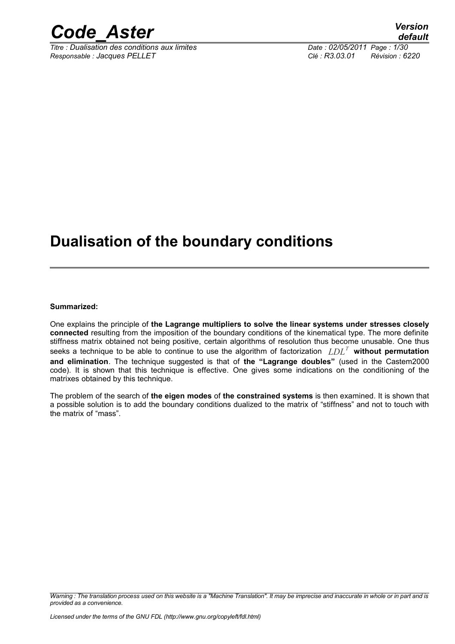

*Titre : Dualisation des conditions aux limites Date : 02/05/2011 Page : 1/30 Responsable : Jacques PELLET Clé : R3.03.01 Révision : 6220*

### **Dualisation of the boundary conditions**

**Summarized:**

One explains the principle of **the Lagrange multipliers to solve the linear systems under stresses closely connected** resulting from the imposition of the boundary conditions of the kinematical type. The more definite stiffness matrix obtained not being positive, certain algorithms of resolution thus become unusable. One thus seeks a technique to be able to continue to use the algorithm of factorization *LDL<sup>T</sup>*  **without permutation and elimination**. The technique suggested is that of **the "Lagrange doubles"** (used in the Castem2000 code). It is shown that this technique is effective. One gives some indications on the conditioning of the matrixes obtained by this technique.

The problem of the search of **the eigen modes** of **the constrained systems** is then examined. It is shown that a possible solution is to add the boundary conditions dualized to the matrix of "stiffness" and not to touch with the matrix of "mass".

*Warning : The translation process used on this website is a "Machine Translation". It may be imprecise and inaccurate in whole or in part and is provided as a convenience.*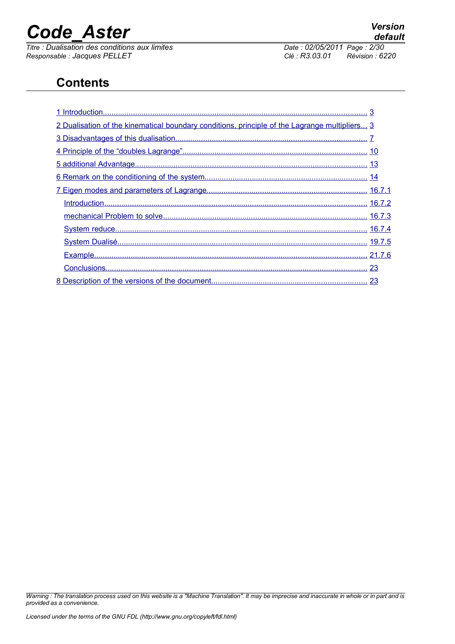*Titre : Dualisation des conditions aux limites Date : 02/05/2011 Page : 2/30 Responsable : Jacques PELLET Clé : R3.03.01 Révision : 6220*

*default*

### **Contents**

| 2 Dualisation of the kinematical boundary conditions, principle of the Lagrange multipliers 3 |  |
|-----------------------------------------------------------------------------------------------|--|
|                                                                                               |  |
|                                                                                               |  |
|                                                                                               |  |
|                                                                                               |  |
|                                                                                               |  |
|                                                                                               |  |
|                                                                                               |  |
|                                                                                               |  |
|                                                                                               |  |
|                                                                                               |  |
|                                                                                               |  |
|                                                                                               |  |

*Warning : The translation process used on this website is a "Machine Translation". It may be imprecise and inaccurate in whole or in part and is provided as a convenience.*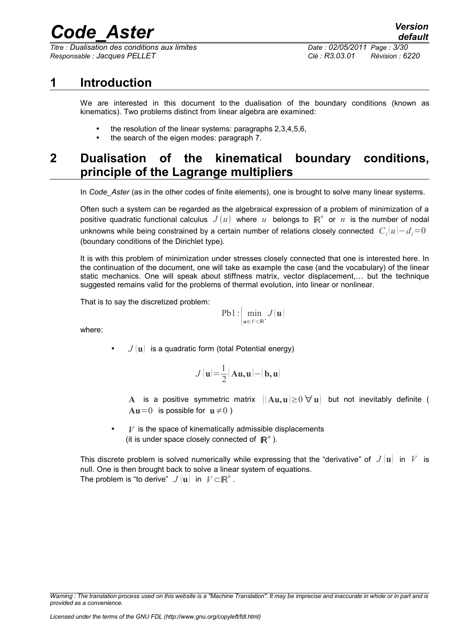*Titre : Dualisation des conditions aux limites Date : 02/05/2011 Page : 3/30 Responsable : Jacques PELLET Clé : R3.03.01 Révision : 6220*

### **1 Introduction**

<span id="page-2-0"></span>We are interested in this document to the dualisation of the boundary conditions (known as kinematics). Two problems distinct from linear algebra are examined:

- the resolution of the linear systems: paragraphs 2,3,4,5,6,
- <span id="page-2-1"></span>• the search of the eigen modes: paragraph 7.

### **2 Dualisation of the kinematical boundary conditions, principle of the Lagrange multipliers**

In *Code\_Aster* (as in the other codes of finite elements), one is brought to solve many linear systems.

Often such a system can be regarded as the algebraical expression of a problem of minimization of a positive quadratic functional calculus  $J(u)$  where  $u$  belongs to  $\mathbb{R}^n$  or  $n$  is the number of nodal unknowns while being constrained by a certain number of relations closely connected  $\; C_i[u]\!-\!d_i\!\equiv\!0\;$ (boundary conditions of the Dirichlet type).

It is with this problem of minimization under stresses closely connected that one is interested here. In the continuation of the document, one will take as example the case (and the vocabulary) of the linear static mechanics. One will speak about stiffness matrix, vector displacement,… but the technique suggested remains valid for the problems of thermal evolution, into linear or nonlinear.

That is to say the discretized problem:

$$
\mathrm{Pb1}: \left\{\min_{\mathbf{u}\in\mathcal{V}\subset\mathbb{R}^n}J(\mathbf{u})\right\}
$$

where:

•  $J(\mathbf{u})$  is a quadratic form (total Potential energy)

$$
J(\mathbf{u}) = \frac{1}{2}(\mathbf{A}\mathbf{u}, \mathbf{u}) - (\mathbf{b}, \mathbf{u})
$$

**A** is a positive symmetric matrix  $\|\mathbf{A}\mathbf{u}, \mathbf{u}\| \ge 0 \ \forall \mathbf{u}\$  but not inevitably definite (  $Au=0$  is possible for  $u \neq 0$ )

 $V$  is the space of kinematically admissible displacements (it is under space closely connected of  $\mathbb{R}^n$ ).

This discrete problem is solved numerically while expressing that the "derivative" of  $J(\mathbf{u})$  in V is null. One is then brought back to solve a linear system of equations. The problem is "to derive"  $\left|J\left(\mathbf{u}\right)\right|$  in  $\left|V\mathsf{\subset }\mathbb{R}^{n}\right|$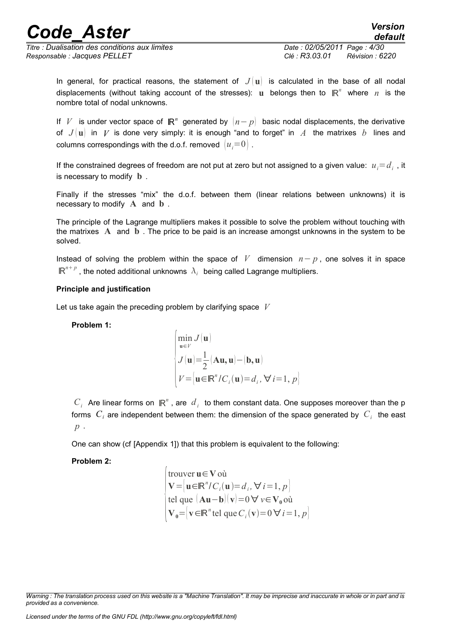*Titre : Dualisation des conditions aux limites Date : 02/05/2011 Page : 4/30 Responsable : Jacques PELLET Clé : R3.03.01 Révision : 6220*

*default*

In general, for practical reasons, the statement of  $J(\mathbf{u})$  is calculated in the base of all nodal displacements (without taking account of the stresses): **u** belongs then to ℝ *n* where *n* is the nombre total of nodal unknowns.

If  $|V|$  is under vector space of  $|\mathbf{R}^n|$  generated by  $|n-p|$  basic nodal displacements, the derivative of  $J(\mathbf{u})$  in V is done very simply: it is enough "and to forget" in A the matrixes b lines and columns correspondings with the d.o.f. removed  $|u_i=0|$ .

If the constrained degrees of freedom are not put at zero but not assigned to a given value:  $u_i$ = $d_i$  , it is necessary to modify **b** .

Finally if the stresses "mix" the d.o.f. between them (linear relations between unknowns) it is necessary to modify **A** and **b** .

The principle of the Lagrange multipliers makes it possible to solve the problem without touching with the matrixes **A** and **b** . The price to be paid is an increase amongst unknowns in the system to be solved.

Instead of solving the problem within the space of *V* dimension *n*− *p* , one solves it in space  $\mathbb{R}^{n+p}$  , the noted additional unknowns  $\vert \lambda_i \vert$  being called Lagrange multipliers.

#### **Principle and justification**

Let us take again the preceding problem by clarifying space *V*

 $\overline{1}$ 

#### **Problem 1:**

$$
\begin{cases}\n\min_{\mathbf{u}\in V} J(\mathbf{u}) \\
J(\mathbf{u}) = \frac{1}{2} (\mathbf{A}\mathbf{u}, \mathbf{u}) - (\mathbf{b}, \mathbf{u}) \\
V = \left\{ \mathbf{u} \in \mathbb{R}^n / C_i(\mathbf{u}) = d_i, \forall i = 1, p \right\}\n\end{cases}
$$

 $C_i$  Are linear forms on  $\mathbb{R}^n$ , are  $d_i$  to them constant data. One supposes moreover than the p forms  $|C_i|$  are independent between them: the dimension of the space generated by  $|C_i|$  the east *p* .

One can show (cf [Appendix 1]) that this problem is equivalent to the following:

#### **Problem 2:**

trouver 
$$
\mathbf{u} \in \mathbf{V}
$$
 où  
\n
$$
\mathbf{V} = [\mathbf{u} \in \mathbb{R}^n / C_i(\mathbf{u}) = d_i, \forall i = 1, p]
$$
\ntel que  $(\mathbf{A}\mathbf{u} - \mathbf{b})(\mathbf{v}) = 0 \forall v \in \mathbf{V}_0$  où  
\n
$$
\mathbf{V}_0 = [\mathbf{v} \in \mathbb{R}^n \text{ tel que } C_i(\mathbf{v}) = 0 \forall i = 1, p]
$$

*Warning : The translation process used on this website is a "Machine Translation". It may be imprecise and inaccurate in whole or in part and is provided as a convenience.*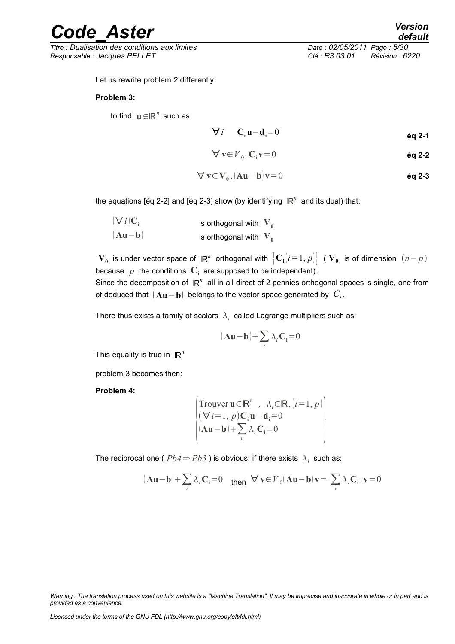*Titre : Dualisation des conditions aux limites Date : 02/05/2011 Page : 5/30 Responsable : Jacques PELLET Clé : R3.03.01 Révision : 6220*

Let us rewrite problem 2 differently:

#### **Problem 3:**

to find  $\mathbf{u} \in \mathbb{R}^n$  such as

$$
\forall i \quad \mathbf{C_i u} - \mathbf{d_i} = 0 \tag{6q 2-1}
$$

$$
\forall \mathbf{v} \in V_0, \mathbf{C}_i \mathbf{v} = 0 \tag{6q 2-2}
$$

$$
\forall v \in V_0, [Au - b]v = 0
$$

the equations [éq 2-2] and [éq 2-3] show (by identifying  $\mathbb{R}^n$  and its dual) that:

| $\forall i \mathbf{C}_i$ | is orthogonal with $V_0$ |  |
|--------------------------|--------------------------|--|
| $ Au-b $                 | is orthogonal with $V_0$ |  |

 $\bm{V_0}$  is under vector space of  $\mathbb{R}^n$  orthogonal with  $\big| \mathbf{C_i}[i\!=\!1,p] \big|$  (  $\bm{V_0}$  is of dimension  $(n\!-\!p)$ because  $p$  the conditions  $\mathbf{C}_i$  are supposed to be independent).

Since the decomposition of  $\mathbb{R}^n$  all in all direct of 2 pennies orthogonal spaces is single, one from of deduced that  $\left[\mathbf{A}\mathbf{u}-\mathbf{b}\right]$  belongs to the vector space generated by  $\left[C_i\right]$ 

There thus exists a family of scalars  $|\lambda_i|$  called Lagrange multipliers such as:

$$
(\mathbf{A}\mathbf{u}-\mathbf{b})+\sum_i\lambda_i\mathbf{C_i}\!=\!0
$$

This equality is true in  $\mathbb{R}^n$ 

problem 3 becomes then:

**Problem 4:**

$$
\begin{cases}\n\text{Trouver } \mathbf{u} \in \mathbb{R}^n, \quad \lambda_i \in \mathbb{R}, \, |i=1, p) \\
(\forall i=1, p) \mathbf{C}_i \mathbf{u} - \mathbf{d}_i = 0 \\
(\mathbf{A} \mathbf{u} - \mathbf{b}) + \sum_i \lambda_i \mathbf{C}_i = 0\n\end{cases}
$$

The reciprocal one (  $Pb4 \Rightarrow Pb3$  ) is obvious: if there exists  $|\lambda_i|$  such as:

$$
(\mathbf{A}\mathbf{u}-\mathbf{b})+\sum_{i}\lambda_{i}\mathbf{C}_{i}=\mathbf{0} \quad \text{then} \quad \forall \mathbf{v} \in V_{0}(\mathbf{A}\mathbf{u}-\mathbf{b})\mathbf{v}=\sum_{i}\lambda_{i}\mathbf{C}_{i}.\mathbf{v}=\mathbf{0}
$$

*Warning : The translation process used on this website is a "Machine Translation". It may be imprecise and inaccurate in whole or in part and is provided as a convenience.*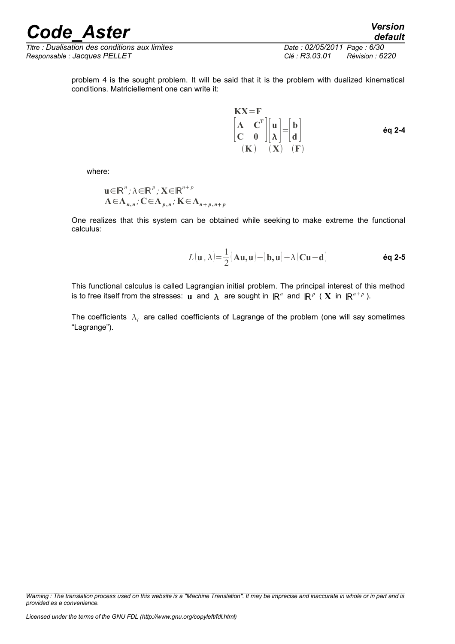*Titre : Dualisation des conditions aux limites Date : 02/05/2011 Page : 6/30 Responsable : Jacques PELLET Clé : R3.03.01 Révision : 6220*

*default*

problem 4 is the sought problem. It will be said that it is the problem with dualized kinematical conditions. Matriciellement one can write it:

$$
KX = F
$$
\n
$$
\begin{bmatrix} A & C^T \\ C & 0 \end{bmatrix} \begin{bmatrix} u \\ \lambda \end{bmatrix} = \begin{bmatrix} b \\ d \end{bmatrix}
$$
\n
$$
(K) \quad (X) \quad (F)
$$
\n6q 2-4

where:

$$
\mathbf{u} \in \mathbb{R}^n; \lambda \in \mathbb{R}^p; \mathbf{X} \in \mathbb{R}^{n+p}
$$
  
 
$$
\mathbf{A} \in \mathbf{A}_{n,n}; \mathbf{C} \in \mathbf{A}_{p,n}; \mathbf{K} \in \mathbf{A}_{n+p,n+p}
$$

One realizes that this system can be obtained while seeking to make extreme the functional calculus:

$$
L(\mathbf{u}, \lambda) = \frac{1}{2}(\mathbf{A}\mathbf{u}, \mathbf{u}) - (\mathbf{b}, \mathbf{u}) + \lambda(\mathbf{C}\mathbf{u} - \mathbf{d})
$$
 6q 2-5

This functional calculus is called Lagrangian initial problem. The principal interest of this method is to free itself from the stresses: **u** and  $\lambda$  are sought in  $\mathbb{R}^n$  and  $\mathbb{R}^p$  (  $X$  in  $\mathbb{R}^{n+p}$ ).

The coefficients  $\vert \lambda_i \vert$  are called coefficients of Lagrange of the problem (one will say sometimes "Lagrange").

*Warning : The translation process used on this website is a "Machine Translation". It may be imprecise and inaccurate in whole or in part and is provided as a convenience.*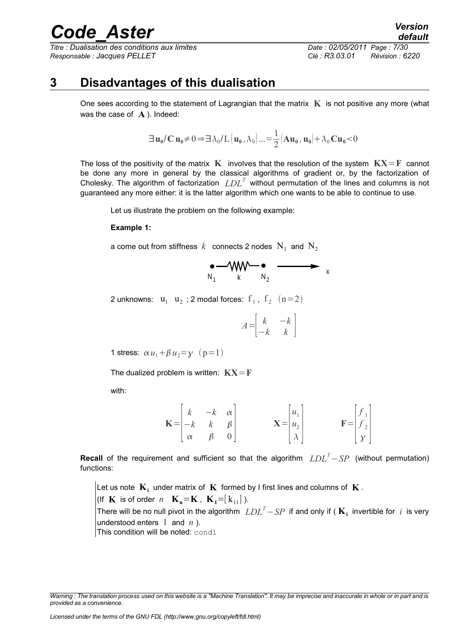*Titre : Dualisation des conditions aux limites Date : 02/05/2011 Page : 7/30 Responsable : Jacques PELLET Clé : R3.03.01 Révision : 6220*

### **3 Disadvantages of this dualisation**

<span id="page-6-0"></span>One sees according to the statement of Lagrangian that the matrix **K** is not positive any more (what was the case of **A** ). Indeed:

$$
\exists \mathbf{u}_0 / \mathbf{C} \mathbf{u}_0 \neq 0 \Rightarrow \exists \lambda_0 / L \left( \mathbf{u}_0, \lambda_0 \right) \dots = \frac{1}{2} \left( \mathbf{A} \mathbf{u}_0, \mathbf{u}_0 \right) + \lambda_0 \mathbf{C} \mathbf{u}_0 \lt 0
$$

The loss of the positivity of the matrix **K** involves that the resolution of the system  $\mathbf{K} \mathbf{X} = \mathbf{F}$  cannot be done any more in general by the classical algorithms of gradient or, by the factorization of Cholesky. The algorithm of factorization *LDL<sup>T</sup>* without permutation of the lines and columns is not guaranteed any more either: it is the latter algorithm which one wants to be able to continue to use.

Let us illustrate the problem on the following example:

#### **Example 1:**

a come out from stiffness  $k$  connects 2 nodes  $\mathrm{N}_1^{\mathrm{}}$  and  $\mathrm{N}_2^{\mathrm{}}$ 

$$
\bullet \longrightarrow_{N_1} W \longrightarrow \bullet \longrightarrow_{N_2} W
$$

2 unknowns:  $u_1$   $u_2$ ; 2 modal forces:  $f_1$ ,  $f_2$   $(n=2)$ 

$$
A = \begin{bmatrix} k & -k \\ -k & k \end{bmatrix}
$$

1 stress:  $\alpha u_1 + \beta u_2 = \gamma$  (p=1)

The dualized problem is written:  $\mathbf{K} \mathbf{X} = \mathbf{F}$ 

with:

$$
\mathbf{K} = \begin{bmatrix} k & -k & \alpha \\ -k & k & \beta \\ \alpha & \beta & 0 \end{bmatrix} \qquad \qquad \mathbf{X} = \begin{bmatrix} u_1 \\ u_2 \\ \lambda \end{bmatrix} \qquad \qquad \mathbf{F} = \begin{bmatrix} f_1 \\ f_2 \\ y \end{bmatrix}
$$

**Recall** of the requirement and sufficient so that the algorithm *LDL<sup>T</sup>*−*SP* (without permutation) functions:

Let us note  $\mathbf{K}_i$  under matrix of  $\mathbf{K}$  formed by I first lines and columns of  $\mathbf{K}$  . (If **K** is of order *n*  $\mathbf{K}_n = \mathbf{K}$ ,  $\mathbf{K}_n = [k_{11}]$ ). There will be no null pivot in the algorithm *LDL<sup>T</sup>*−*SP* if and only if ( **K<sup>i</sup>** invertible for *i* is very understood enters 1 and *n* ). This condition will be noted: cond1

*Warning : The translation process used on this website is a "Machine Translation". It may be imprecise and inaccurate in whole or in part and is provided as a convenience.*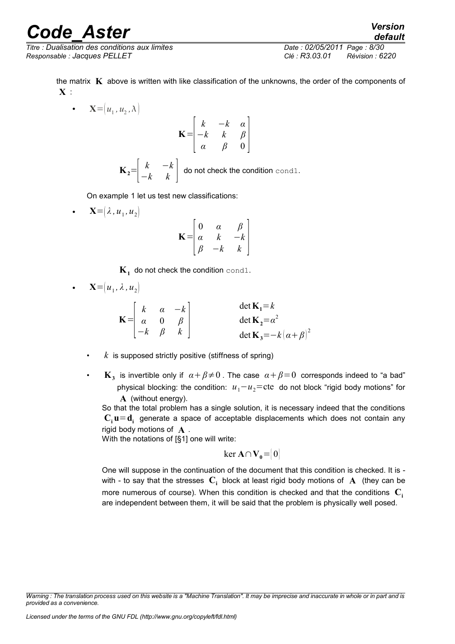*Titre : Dualisation des conditions aux limites Date : 02/05/2011 Page : 8/30 Responsable : Jacques PELLET Clé : R3.03.01 Révision : 6220*

*default*

the matrix **K** above is written with like classification of the unknowns, the order of the components of **X** :

•  $\mathbf{X} = (u_1, u_2, \lambda)$ **K**=  $\vert$ , *k* −*k α* −*k k β α β* 0 ]  $\mathbf{K}_2 = \begin{vmatrix} k & -k \\ -k & k \end{vmatrix}$  $\begin{bmatrix} n & n \\ -k & k \end{bmatrix}$  do not check the condition cond1.

On example 1 let us test new classifications:

• **X**= $(\lambda, u_1, u_2)$ **K**=  $\mid$   $\mid$ 0 *α β α k* −*k β* −*k k* ]

 $\mathbf{K}_1^+$  do not check the condition  $\texttt{cond1}.$ 

• 
$$
\mathbf{X} = (u_1, \lambda, u_2)
$$

$$
\mathbf{K} = \begin{bmatrix} k & \alpha & -k \\ \alpha & 0 & \beta \\ -k & \beta & k \end{bmatrix} \qquad \qquad \begin{aligned} \det \mathbf{K}_1 &= k \\ \det \mathbf{K}_2 &= \alpha^2 \\ \det \mathbf{K}_3 &= -k(\alpha + \beta)^2 \end{aligned}
$$

- $k$  is supposed strictly positive (stiffness of spring)
- $\mathbf{K}_3$  is invertible only if  $\alpha + \beta \neq 0$  . The case  $\alpha + \beta = 0$  corresponds indeed to "a bad" physical blocking: the condition:  $u_1 - u_2$ =cte do not block "rigid body motions" for **A** (without energy).

So that the total problem has a single solution, it is necessary indeed that the conditions  $\mathbf{C_i}$ **u** =  $\mathbf{d_i}$  generate a space of acceptable displacements which does not contain any rigid body motions of **A** .

With the notations of [§1] one will write:

$$
\ker \mathbf{A} \cap \mathbf{V}_0 = [0]
$$

One will suppose in the continuation of the document that this condition is checked. It is with - to say that the stresses  $\mathbf{C_i}$  block at least rigid body motions of  $\mathbf{A}$  (they can be more numerous of course). When this condition is checked and that the conditions  $\mathbf{C}_i$ are independent between them, it will be said that the problem is physically well posed.

*Warning : The translation process used on this website is a "Machine Translation". It may be imprecise and inaccurate in whole or in part and is provided as a convenience.*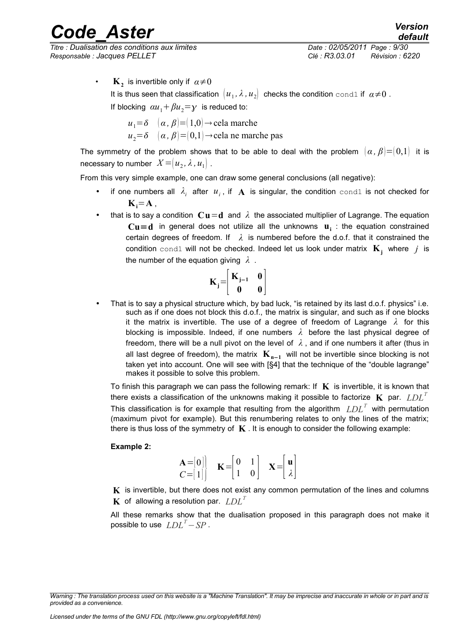*Titre : Dualisation des conditions aux limites Date : 02/05/2011 Page : 9/30 Responsable : Jacques PELLET Clé : R3.03.01 Révision : 6220*

*default*

•  $\mathbf{K}_2$  is invertible only if  $\alpha \neq 0$ It is thus seen that classification  $\big\lvert u_1, \lambda$  *,*  $u_2\big\rvert\,$  checks the condition <code>cond1</code> if  $\,a{\neq}0$  . If blocking  $\alpha u_1 + \beta u_2 = y$  is reduced to:

> $u_1 = \delta$   $(\alpha, \beta) = (1,0) \rightarrow$  cela marche  $u_2 = \delta$   $(\alpha, \beta) = (0,1) \rightarrow$ cela ne marche pas

The symmetry of the problem shows that to be able to deal with the problem  $(\alpha, \beta) = (0,1)$  it is  ${\sf necessary}$  to number  $\left. X \!=\! \left( u_{2}, \lambda \right. , u_{1} \right)$  .

From this very simple example, one can draw some general conclusions (all negative):

- if one numbers all  $\lambda_i$  after  $u_i$ , if  $A$  is singular, the condition cond1 is not checked for  $\mathbf{K}_{i} = \mathbf{A}$ ,
- that is to say a condition  $\mathbf{C}\mathbf{u}=\mathbf{d}$  and  $\lambda$  the associated multiplier of Lagrange. The equation  $Cu = d$  in general does not utilize all the unknowns  $u_i$  : the equation constrained certain degrees of freedom. If  $\lambda$  is numbered before the d.o.f. that it constrained the condition cond1 will not be checked. Indeed let us look under matrix **K<sup>j</sup>** where *j* is the number of the equation giving *λ* .

$$
\mathbf{K}_{\mathbf{j}} = \begin{bmatrix} \mathbf{K}_{\mathbf{j}-1} & \mathbf{0} \\ \mathbf{0} & \mathbf{0} \end{bmatrix}
$$

• That is to say a physical structure which, by bad luck, "is retained by its last d.o.f. physics" i.e. such as if one does not block this d.o.f., the matrix is singular, and such as if one blocks it the matrix is invertible. The use of a degree of freedom of Lagrange *λ* for this blocking is impossible. Indeed, if one numbers *λ* before the last physical degree of freedom, there will be a null pivot on the level of  $\lambda$ , and if one numbers it after (thus in all last degree of freedom), the matrix **K<sup>n</sup>**−**<sup>1</sup>** will not be invertible since blocking is not taken yet into account. One will see with [§4] that the technique of the "double lagrange" makes it possible to solve this problem.

To finish this paragraph we can pass the following remark: If  $\bf{K}$  is invertible, it is known that there exists a classification of the unknowns making it possible to factorize **K** par. *LDL<sup>T</sup>* This classification is for example that resulting from the algorithm *LDL<sup>T</sup>* with permutation (maximum pivot for example). But this renumbering relates to only the lines of the matrix; there is thus loss of the symmetry of  $\mathbf K$ . It is enough to consider the following example:

#### **Example 2:**

$$
\begin{array}{cc}\n\mathbf{A} = [0] \\
C = [1]\n\end{array}\n\quad\n\mathbf{K} = \begin{bmatrix} 0 & 1 \\ 1 & 0 \end{bmatrix}\n\quad\n\mathbf{X} = \begin{bmatrix} \mathbf{u} \\ \lambda \end{bmatrix}
$$

**K** is invertible, but there does not exist any common permutation of the lines and columns **K** of allowing a resolution par. *LDL<sup>T</sup>*

All these remarks show that the dualisation proposed in this paragraph does not make it possible to use *LDL<sup>T</sup>*−*SP* .

*Warning : The translation process used on this website is a "Machine Translation". It may be imprecise and inaccurate in whole or in part and is provided as a convenience.*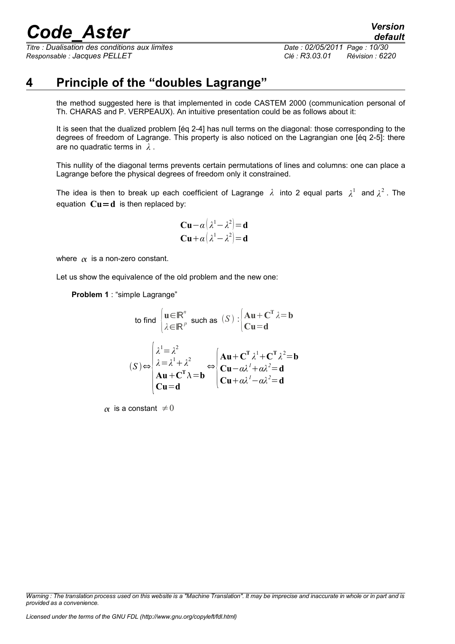*Titre : Dualisation des conditions aux limites Date : 02/05/2011 Page : 10/30 Responsable : Jacques PELLET Clé : R3.03.01 Révision : 6220*

### **4 Principle of the "doubles Lagrange"**

<span id="page-9-0"></span>the method suggested here is that implemented in code CASTEM 2000 (communication personal of Th. CHARAS and P. VERPEAUX). An intuitive presentation could be as follows about it:

It is seen that the dualized problem [éq 2-4] has null terms on the diagonal: those corresponding to the degrees of freedom of Lagrange. This property is also noticed on the Lagrangian one [éq 2-5]: there are no quadratic terms in *λ* .

This nullity of the diagonal terms prevents certain permutations of lines and columns: one can place a Lagrange before the physical degrees of freedom only it constrained.

The idea is then to break up each coefficient of Lagrange *λ* into 2 equal parts *λ* 1 and *λ* 2 . The equation  $Cu = d$  is then replaced by:

$$
\mathbf{Cu} - \alpha \left( \lambda^1 - \lambda^2 \right) = \mathbf{d}
$$
  

$$
\mathbf{Cu} + \alpha \left( \lambda^1 - \lambda^2 \right) = \mathbf{d}
$$

where  $\alpha$  is a non-zero constant.

Let us show the equivalence of the old problem and the new one:

**Problem 1** : "simple Lagrange"

to find 
$$
\begin{cases} \mathbf{u} \in \mathbb{R}^n \\ \lambda \in \mathbb{R}^p \end{cases} \text{ such as } (S) : \begin{cases} \mathbf{A}\mathbf{u} + \mathbf{C}^T \lambda = \mathbf{b} \\ \mathbf{C}\mathbf{u} = \mathbf{d} \end{cases}
$$

$$
(S) \Leftrightarrow \begin{cases} \lambda^1 = \lambda^2 \\ \lambda = \lambda^1 + \lambda^2 \\ \mathbf{A}\mathbf{u} + \mathbf{C}^T \lambda = \mathbf{b} \end{cases} \Leftrightarrow \begin{cases} \mathbf{A}\mathbf{u} + \mathbf{C}^T \lambda^1 + \mathbf{C}^T \lambda^2 = \mathbf{b} \\ \mathbf{C}\mathbf{u} - \alpha \lambda^1 + \alpha \lambda^2 = \mathbf{d} \\ \mathbf{C}\mathbf{u} + \alpha \lambda^1 - \alpha \lambda^2 = \mathbf{d} \end{cases}
$$

 $\alpha$  is a constant  $\neq 0$ 

*Warning : The translation process used on this website is a "Machine Translation". It may be imprecise and inaccurate in whole or in part and is provided as a convenience.*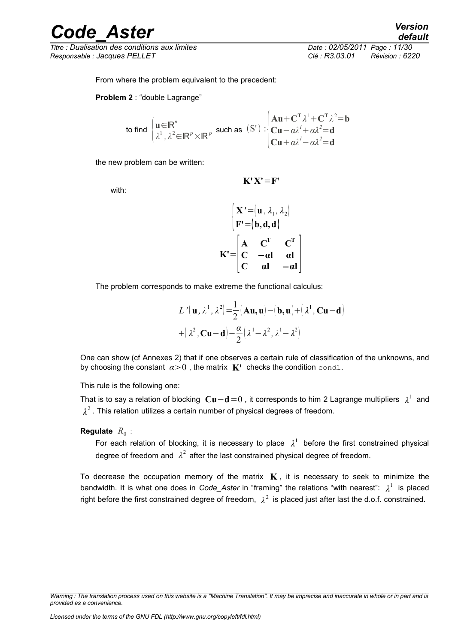*Titre : Dualisation des conditions aux limites Date : 02/05/2011 Page : 11/30 Responsable : Jacques PELLET Clé : R3.03.01 Révision : 6220*

From where the problem equivalent to the precedent:

**Problem 2** : "double Lagrange"

to find 
$$
\begin{cases} \mathbf{u} \in \mathbb{R}^n \\ \lambda^1, \lambda^2 \in \mathbb{R}^p \times \mathbb{R}^p \end{cases}
$$
 such as  $(S')$ : 
$$
\begin{cases} \mathbf{A} \mathbf{u} + \mathbf{C}^T \lambda^1 + \mathbf{C}^T \lambda^2 = \mathbf{b} \\ \mathbf{C} \mathbf{u} - \alpha \lambda^1 + \alpha \lambda^2 = \mathbf{d} \\ \mathbf{C} \mathbf{u} + \alpha \lambda^1 - \alpha \lambda^2 = \mathbf{d} \end{cases}
$$

the new problem can be written:

with:

$$
K'X'=F'
$$

$$
\begin{bmatrix}\n\mathbf{X}' = (\mathbf{u}, \lambda_1, \lambda_2) \\
\mathbf{F}' = (\mathbf{b}, \mathbf{d}, \mathbf{d})\n\end{bmatrix}
$$
\n
$$
\mathbf{K}' = \begin{bmatrix}\n\mathbf{A} & \mathbf{C}^{\mathbf{T}} & \mathbf{C}^{\mathbf{T}} \\
\mathbf{C} & -\alpha \mathbf{l} & \alpha \mathbf{l} \\
\mathbf{C} & \alpha \mathbf{l} & -\alpha \mathbf{l}\n\end{bmatrix}
$$

The problem corresponds to make extreme the functional calculus:

$$
L'(\mathbf{u}, \lambda^1, \lambda^2) = \frac{1}{2} (\mathbf{A}\mathbf{u}, \mathbf{u}) - (\mathbf{b}, \mathbf{u}) + (\lambda^1, \mathbf{C}\mathbf{u} - \mathbf{d})
$$

$$
+ (\lambda^2, \mathbf{C}\mathbf{u} - \mathbf{d}) - \frac{\alpha}{2} (\lambda^1 - \lambda^2, \lambda^1 - \lambda^2)
$$

One can show (cf Annexes 2) that if one observes a certain rule of classification of the unknowns, and by choosing the constant  $\alpha > 0$ , the matrix **K'** checks the condition cond1.

This rule is the following one:

That is to say a relation of blocking **Cu**−**d**=0 , it corresponds to him 2 Lagrange multipliers *λ* 1 and  $\lambda^2$  . This relation utilizes a certain number of physical degrees of freedom.

**Regulate**  $R_0$  :

For each relation of blocking, it is necessary to place  $\lambda^1$  before the first constrained physical degree of freedom and  $\lambda^2$  after the last constrained physical degree of freedom.

To decrease the occupation memory of the matrix  $\mathbf{K}$ , it is necessary to seek to minimize the bandwidth. It is what one does in *Code\_Aster* in "framing" the relations "with nearest": *λ* 1 is placed right before the first constrained degree of freedom,  $\lambda^2$  is placed just after last the d.o.f. constrained.

*Warning : The translation process used on this website is a "Machine Translation". It may be imprecise and inaccurate in whole or in part and is provided as a convenience.*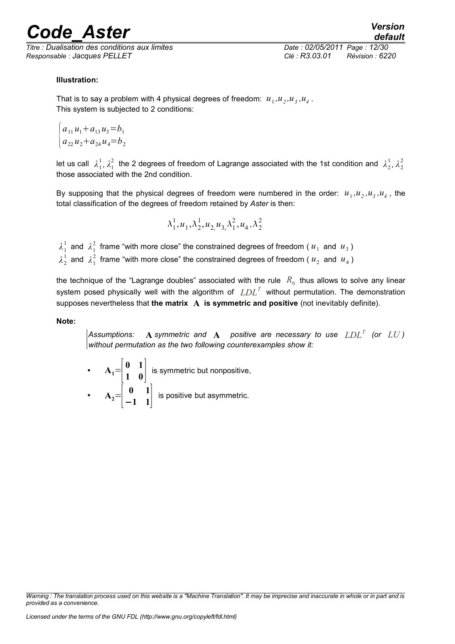*Titre : Dualisation des conditions aux limites Date : 02/05/2011 Page : 12/30 Responsable : Jacques PELLET Clé : R3.03.01 Révision : 6220*

*default*

#### **Illustration:**

That is to say a problem with 4 physical degrees of freedom:  $u_1, u_2, u_3, u_4$ . This system is subjected to 2 conditions:

$$
\begin{cases} a_{11}u_1 + a_{13}u_3 = b_1 \\ a_{22}u_2 + a_{24}u_4 = b_2 \end{cases}
$$

let us call  $\lambda_1^1$ ,  $\lambda_1^2$  the 2 degrees of freedom of Lagrange associated with the 1st condition and  $\lambda_2^1$ ,  $\lambda_2^2$ those associated with the 2nd condition.

By supposing that the physical degrees of freedom were numbered in the order:  $u_1, u_2, u_3, u_4$ , the total classification of the degrees of freedom retained by *Aster* is then:

$$
\lambda_1^1, u_1, \lambda_2^1, u_2, u_3, \lambda_1^2, u_4, \lambda_2^2
$$

 $\lambda_1^1$  and  $\lambda_1^2$  frame "with more close" the constrained degrees of freedom (  $u_1$  and  $u_3$  )

 $\lambda_2^1$  and  $\lambda_1^2$  frame "with more close" the constrained degrees of freedom (  $u_2$  and  $u_4$  )

the technique of the "Lagrange doubles" associated with the rule  $\ R_0$  thus allows to solve any linear system posed physically well with the algorithm of *LDL<sup>T</sup>* without permutation. The demonstration supposes nevertheless that **the matrix A is symmetric and positive** (not inevitably definite).

**Note:**

*Assumptions:* **A** *symmetric and* **A** *positive are necessary to use LDL<sup>T</sup> (or LU ) without permutation as the two following counterexamples show it:*

• 
$$
A_1 = \begin{bmatrix} 0 & 1 \\ 1 & 0 \end{bmatrix}
$$
 is symmetric but nonpositive,  
\n•  $A_2 = \begin{bmatrix} 0 & 1 \\ -1 & 1 \end{bmatrix}$  is positive but asymmetric.

*Warning : The translation process used on this website is a "Machine Translation". It may be imprecise and inaccurate in whole or in part and is provided as a convenience.*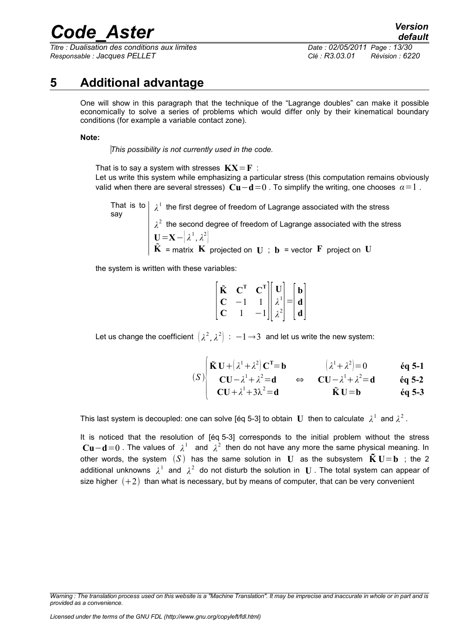*Titre : Dualisation des conditions aux limites Date : 02/05/2011 Page : 13/30 Responsable : Jacques PELLET Clé : R3.03.01 Révision : 6220*

### **5 Additional advantage**

<span id="page-12-0"></span>One will show in this paragraph that the technique of the "Lagrange doubles" can make it possible economically to solve a series of problems which would differ only by their kinematical boundary conditions (for example a variable contact zone).

#### **Note:**

*This possibility is not currently used in the code.*

That is to say a system with stresses  $\mathbf{K} \mathbf{X} = \mathbf{F}$ : Let us write this system while emphasizing a particular stress (this computation remains obviously valid when there are several stresses)  $\bf Cu−d=0$ . To simplify the writing, one chooses  $\alpha=1$ .

That is to  $\mid \lambda^1$  the first degree of freedom of Lagrange associated with the stress say  $\lambda^2$  the second degree of freedom of Lagrange associated with the stress  $\mathbf{U} = \mathbf{X} - \left| \lambda^1, \lambda^2 \right|$  $\tilde{\mathbf{K}}$  = matrix  $\tilde{\mathbf{K}}$  projected on  $\mathbf{U}$  ;  $\mathbf{b}$  = vector  $\tilde{\mathbf{F}}$  project on  $\mathbf{U}$ 

the system is written with these variables:

| Ũ | $\textbf{C}^{\textbf{T}}$ | $\begin{bmatrix} \mathbf{C}^{\mathrm{T}} \\ 1 \\ -1 \end{bmatrix} \begin{bmatrix} \mathbf{U} \\ \lambda^1 \\ \lambda^2 \end{bmatrix} = \begin{bmatrix} \mathbf{b} \\ \mathbf{d} \\ \mathbf{d} \end{bmatrix}$ |  |  |
|---|---------------------------|--------------------------------------------------------------------------------------------------------------------------------------------------------------------------------------------------------------|--|--|
| € |                           |                                                                                                                                                                                                              |  |  |
| U |                           |                                                                                                                                                                                                              |  |  |

Let us change the coefficient  $\left(\lambda^{2},\lambda^{2}\right)\colon -1{\,\rightarrow\,}3\;$  and let us write the new system:

**CU***λ*

$$
\int \tilde{\mathbf{K}} \mathbf{U} + (\lambda^1 + \lambda^2) \mathbf{C}^T = \mathbf{b} \qquad (\lambda^1 + \lambda^2) = 0 \qquad \text{Eq } 5\text{-}1
$$

$$
\begin{array}{c}\n\text{(S)} \\
\text{CU} - \lambda^1 + \lambda^2 = \mathbf{d} \\
\text{CU} + \lambda^1 + 2\lambda^2 = \mathbf{d} \\
\text{EU} - \lambda^1 + \lambda^2 = \mathbf{d} \\
\text{EU} - \mathbf{d} \\
\text{EU} - \mathbf{b} \\
\text{G5.3}\n\end{array}
$$

 $\mathbf{I}^1 + 3\lambda^2 = \mathbf{d}$  **K**  $\mathbf{U} = \mathbf{b}$  **éq 5-3** 

This last system is decoupled: one can solve [éq 5-3] to obtain  $\, {\bf U} \,$  then to calculate  $\, \lambda^1 \,$  and  $\lambda^2$  .

It is noticed that the resolution of [éq 5-3] corresponds to the initial problem without the stress  $Cu-d=0$  . The values of  $\lambda^1$  and  $\lambda^2$  then do not have any more the same physical meaning. In other words, the system  $(S)$  has the same solution in **U** as the subsystem  $\tilde{K} U = b$  ; the 2 additional unknowns  $\lambda^1$  and  $\lambda^2$  do not disturb the solution in  $\bf U$  . The total system can appear of size higher  $(+2)$  than what is necessary, but by means of computer, that can be very convenient

*Warning : The translation process used on this website is a "Machine Translation". It may be imprecise and inaccurate in whole or in part and is provided as a convenience.*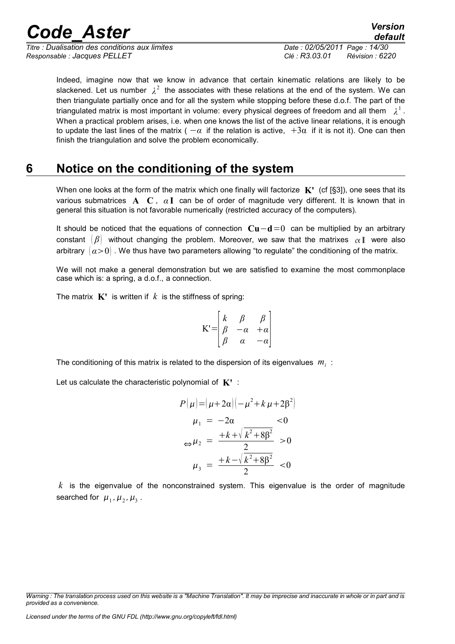*Titre : Dualisation des conditions aux limites Date : 02/05/2011 Page : 14/30 Responsable : Jacques PELLET Clé : R3.03.01 Révision : 6220*

Indeed, imagine now that we know in advance that certain kinematic relations are likely to be slackened. Let us number  $\lambda^2$  the associates with these relations at the end of the system. We can then triangulate partially once and for all the system while stopping before these d.o.f. The part of the triangulated matrix is most important in volume: every physical degrees of freedom and all them  $\lambda^1$  . When a practical problem arises, i.e. when one knows the list of the active linear relations, it is enough to update the last lines of the matrix (  $-\alpha$  if the relation is active,  $+3\alpha$  if it is not it). One can then finish the triangulation and solve the problem economically.

### **6 Notice on the conditioning of the system**

<span id="page-13-0"></span>When one looks at the form of the matrix which one finally will factorize **K'** (cf [§3]), one sees that its various submatrices **A C** , *α* **I** can be of order of magnitude very different. It is known that in general this situation is not favorable numerically (restricted accuracy of the computers).

It should be noticed that the equations of connection **Cu**−**d**=0 can be multiplied by an arbitrary constant  $\mathcal{B}$  without changing the problem. Moreover, we saw that the matrixes  $\alpha \mathbf{I}$  were also arbitrary  $(a>0)$ . We thus have two parameters allowing "to regulate" the conditioning of the matrix.

We will not make a general demonstration but we are satisfied to examine the most commonplace case which is: a spring, a d.o.f., a connection.

The matrix  $\mathbf{K}'$  is written if  $k$  is the stiffness of spring:

$$
K' = \begin{bmatrix} k & \beta & \beta \\ \beta & -\alpha & +\alpha \\ \beta & \alpha & -\alpha \end{bmatrix}
$$

The conditioning of this matrix is related to the dispersion of its eigenvalues  $m_i$ :

Let us calculate the characteristic polynomial of **K'** :

$$
P(\mu) = (\mu + 2\alpha)(-\mu^2 + k \mu + 2\beta^2)
$$
  
\n
$$
\mu_1 = -2\alpha \le 0
$$
  
\n
$$
\Leftrightarrow \mu_2 = \frac{+k + \sqrt{k^2 + 8\beta^2}}{2} > 0
$$
  
\n
$$
\mu_3 = \frac{+k - \sqrt{k^2 + 8\beta^2}}{2} < 0
$$

*k* is the eigenvalue of the nonconstrained system. This eigenvalue is the order of magnitude searched for  $\mu_1$ ,  $\mu_2$ ,  $\mu_3$ .

*Licensed under the terms of the GNU FDL (http://www.gnu.org/copyleft/fdl.html)*

*default*

*Warning : The translation process used on this website is a "Machine Translation". It may be imprecise and inaccurate in whole or in part and is provided as a convenience.*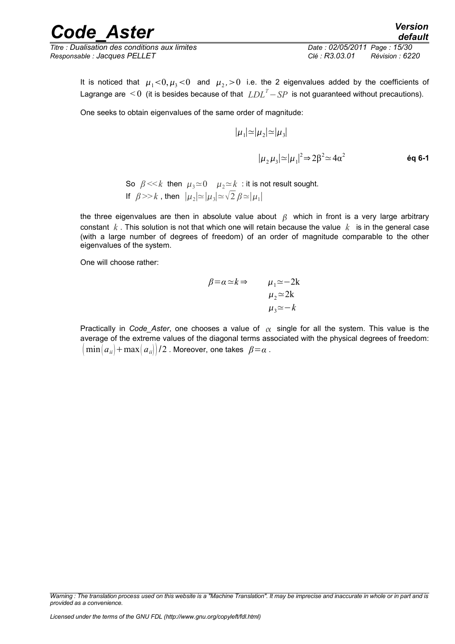*Titre : Dualisation des conditions aux limites Date : 02/05/2011 Page : 15/30 Responsable : Jacques PELLET Clé : R3.03.01 Révision : 6220*

It is noticed that  $\mu_1<$  0,  $\mu_3<$  0 and  $\mu_2>0$  i.e. the 2 eigenvalues added by the coefficients of Lagrange are < 0 (it is besides because of that *LDL<sup>T</sup>*−*SP* is not guaranteed without precautions).

One seeks to obtain eigenvalues of the same order of magnitude:

$$
|\mu_1| \approx |\mu_2| \approx |\mu_3|
$$
  

$$
|\mu_2 \mu_3| \approx |\mu_1|^2 \Rightarrow 2\beta^2 \approx 4\alpha^2
$$
éq 6-1

So  $\beta \ll k$  then  $\mu_3 \simeq 0$   $\mu_2 \simeq k$  : it is not result sought. If  $\beta$  >> k, then  $|\mu_2| \approx |\mu_3| \approx \sqrt{2} \beta \approx |\mu_1|$ 

the three eigenvalues are then in absolute value about  $\beta$  which in front is a very large arbitrary constant *k* . This solution is not that which one will retain because the value *k* is in the general case (with a large number of degrees of freedom) of an order of magnitude comparable to the other eigenvalues of the system.

One will choose rather:

$$
\beta = \alpha \simeq k \Rightarrow \qquad \mu_1 \simeq -2k
$$
  

$$
\mu_2 \simeq 2k
$$
  

$$
\mu_3 \simeq -k
$$

Practically in *Code\_Aster*, one chooses a value of  $\alpha$  single for all the system. This value is the average of the extreme values of the diagonal terms associated with the physical degrees of freedom:  $\lVert \min(a_{ii}) + \max(a_{ii}) \rVert/2$  . Moreover, one takes  $\beta = \alpha$  .

*Warning : The translation process used on this website is a "Machine Translation". It may be imprecise and inaccurate in whole or in part and is provided as a convenience.*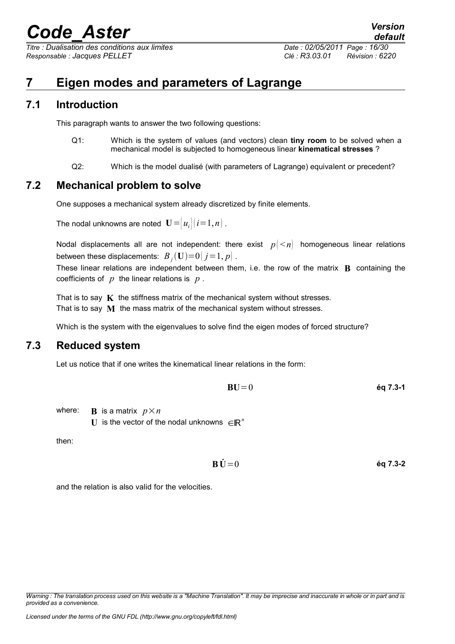*Titre : Dualisation des conditions aux limites Date : 02/05/2011 Page : 16/30 Responsable : Jacques PELLET Clé : R3.03.01 Révision : 6220*

### <span id="page-15-3"></span>**7 Eigen modes and parameters of Lagrange**

#### **7.1 Introduction**

<span id="page-15-2"></span>This paragraph wants to answer the two following questions:

- Q1: Which is the system of values (and vectors) clean **tiny room** to be solved when a mechanical model is subjected to homogeneous linear **kinematical stresses** ?
- Q2: Which is the model dualisé (with parameters of Lagrange) equivalent or precedent?

#### **7.2 Mechanical problem to solve**

<span id="page-15-1"></span>One supposes a mechanical system already discretized by finite elements.

The nodal unknowns are noted  $\mathbf{U}=[u_i](i=1,n)$ .

Nodal displacements all are not independent: there exist  $p \leq n$  homogeneous linear relations between these displacements:  $\ B_{_f}(\mathbf{U}){=}0|\,j{=}1,p|\;.$ 

These linear relations are independent between them, i.e. the row of the matrix **B** containing the coefficients of *p* the linear relations is *p* .

That is to say  $\bf{K}$  the stiffness matrix of the mechanical system without stresses. That is to say **M** the mass matrix of the mechanical system without stresses.

<span id="page-15-0"></span>Which is the system with the eigenvalues to solve find the eigen modes of forced structure?

#### **7.3 Reduced system**

Let us notice that if one writes the kinematical linear relations in the form:

$$
BU = 0 \qquad \qquad \text{Eq 7.3-1}
$$

where: **B** is a matrix  $p \times n$ U is the vector of the nodal unknowns  $\in \mathbb{R}^n$ 

then:

$$
\dot{\mathbf{B}}\dot{\mathbf{U}} = 0 \qquad \qquad \dot{\mathbf{e}} \mathbf{q} \mathbf{7.3-2}
$$

and the relation is also valid for the velocities.

*default*

*Warning : The translation process used on this website is a "Machine Translation". It may be imprecise and inaccurate in whole or in part and is provided as a convenience.*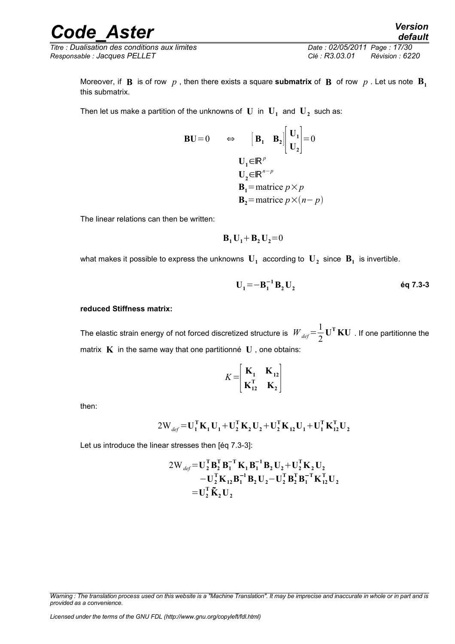*Titre : Dualisation des conditions aux limites Date : 02/05/2011 Page : 17/30 Responsable : Jacques PELLET Clé : R3.03.01 Révision : 6220*

*default*

Moreover, if **B** is of row  $p$ , then there exists a square **submatrix** of **B** of row  $p$ . Let us note  $\mathbf{B}_1$ this submatrix.

Then let us make a partition of the unknowns of  $\mathbf U$  in  $\mathbf U_1$  and  $\mathbf U_2$  such as:

$$
\begin{array}{ccc}\n\mathbf{B}\mathbf{U} = 0 & \Leftrightarrow & \left[\mathbf{B}_{1} \quad \mathbf{B}_{2}\right] \begin{bmatrix} \mathbf{U}_{1} \\ \mathbf{U}_{2} \end{bmatrix} = 0 \\
\mathbf{U}_{1} \in \mathbb{R}^{p} \\
\mathbf{U}_{2} \in \mathbb{R}^{n-p} \\
\mathbf{B}_{1} = \text{matrice } p \times p \\
\mathbf{B}_{2} = \text{matrice } p \times (n-p)\n\end{array}
$$

The linear relations can then be written:

$$
\mathbf{B}_1 \mathbf{U}_1 + \mathbf{B}_2 \mathbf{U}_2 = 0
$$

what makes it possible to express the unknowns  $\mathbf{U}_1$  according to  $\mathbf{U}_2$  since  $\mathbf{B}_1$  is invertible.

$$
U_1 = -B_1^{-1} B_2 U_2
$$

#### **reduced Stiffness matrix:**

The elastic strain energy of not forced discretized structure is  $\;W_{\sf def}\!=\!\frac{1}{2}\;$ 2 **U <sup>T</sup> KU** . If one partitionne the matrix  $\bf{K}$  in the same way that one partitionné  $\bf{U}$ , one obtains:

$$
K = \begin{bmatrix} \mathbf{K}_1 & \mathbf{K}_{12} \\ \mathbf{K}_{12}^{\mathrm{T}} & \mathbf{K}_2 \end{bmatrix}
$$

 $\overline{a}$ 

then:

$$
2\mathbf{W}_{\text{def}} = \mathbf{U}_1^{\mathsf{T}} \mathbf{K}_1 \mathbf{U}_1 + \mathbf{U}_2^{\mathsf{T}} \mathbf{K}_2 \mathbf{U}_2 + \mathbf{U}_2^{\mathsf{T}} \mathbf{K}_{12} \mathbf{U}_1 + \mathbf{U}_1^{\mathsf{T}} \mathbf{K}_{12}^{\mathsf{T}} \mathbf{U}_2
$$

Let us introduce the linear stresses then [éq 7.3-3]:

$$
2W_{def} = U_2^T B_2^T B_1^{-T} K_1 B_1^{-1} B_2 U_2 + U_2^T K_2 U_2 - U_2^T K_{12} B_1^{-1} B_2 U_2 - U_2^T B_2^T B_1^{-T} K_{12}^T U_2
$$
  
= 
$$
U_2^T \tilde{K}_2 U_2
$$

*Warning : The translation process used on this website is a "Machine Translation". It may be imprecise and inaccurate in whole or in part and is provided as a convenience.*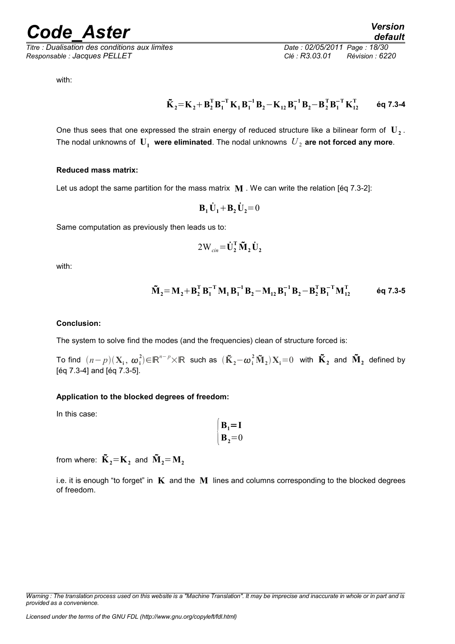*Titre : Dualisation des conditions aux limites Date : 02/05/2011 Page : 18/30 Responsable : Jacques PELLET Clé : R3.03.01 Révision : 6220*

with:

$$
\boldsymbol{\tilde{K}}_{2}\!=\!\boldsymbol{\mathrm{K}}_{2}\!+\!\boldsymbol{\mathrm{B}}_{2}^{\mathrm{T}}\boldsymbol{\mathrm{B}}_{1}^{-\mathrm{T}}\boldsymbol{\mathrm{K}}_{1}\boldsymbol{\mathrm{B}}_{1}^{-1}\boldsymbol{\mathrm{B}}_{2}\!-\!\boldsymbol{\mathrm{K}}_{12}\boldsymbol{\mathrm{B}}_{1}^{-1}\boldsymbol{\mathrm{B}}_{2}\!-\!\boldsymbol{\mathrm{B}}_{2}^{\mathrm{T}}\boldsymbol{\mathrm{B}}_{1}^{-\mathrm{T}}\boldsymbol{\mathrm{K}}_{12}^{\mathrm{T}}\qquad \ \ \textrm{6q 7.3-4}
$$

One thus sees that one expressed the strain energy of reduced structure like a bilinear form of  $\mathbf{U}_2$ . The nodal unknowns of  $U_1$  were eliminated. The nodal unknowns  $U_2$  are not forced any more.

#### **Reduced mass matrix:**

Let us adopt the same partition for the mass matrix **M** . We can write the relation [éq 7.3-2]:

$$
\mathbf{B}_1 \dot{\mathbf{U}}_1 + \mathbf{B}_2 \dot{\mathbf{U}}_2 = 0
$$

Same computation as previously then leads us to:

$$
2W_{\text{cin}} = \dot{\mathbf{U}}_2^{\text{T}} \tilde{\mathbf{M}}_2 \dot{\mathbf{U}}_2
$$

with:

$$
\boldsymbol{\tilde{M}}_{2}\!=\!\boldsymbol{M}_{2}\!+\!\boldsymbol{B}_{2}^{\text{T}}\boldsymbol{B}_{1}^{-\text{T}}\boldsymbol{M}_{1}\boldsymbol{B}_{1}^{-1}\boldsymbol{B}_{2}\!-\!\boldsymbol{M}_{12}\boldsymbol{B}_{1}^{-1}\boldsymbol{B}_{2}\!-\!\boldsymbol{B}_{2}^{\text{T}}\boldsymbol{B}_{1}^{-\text{T}}\boldsymbol{M}_{12}^{\text{T}}\qquad \ \ \textrm{6q 7.3-5}
$$

#### **Conclusion:**

The system to solve find the modes (and the frequencies) clean of structure forced is:

 $\textsf{End}^-(n-p)(\mathbf{X}_\textup{i},\,\boldsymbol{\omega}_\textup{i}^2) {\in} \mathbb{R}^{n-p} {\times} \mathbb{R}$  such as  $(\mathbf{\tilde{K}}_2 - \boldsymbol{\omega}_\textup{i}^2 \mathbf{\tilde{M}}_2) \mathbf{X}_\textup{i} {=} 0$  with  $\mathbf{\tilde{K}}_2$  and  $\mathbf{\tilde{M}}_2$  defined by [éq 7.3-4] and [éq 7.3-5].

#### **Application to the blocked degrees of freedom:**

In this case:

$$
\begin{cases} \mathbf{B}_1 = \mathbf{I} \\ \mathbf{B}_2 = 0 \end{cases}
$$

from where:  $\tilde{\mathbf{K}}_2\text{=} \mathbf{K}_2$  and  $\tilde{\mathbf{M}}_2\text{=} \mathbf{M}_2$ 

i.e. it is enough "to forget" in **K** and the **M** lines and columns corresponding to the blocked degrees of freedom.

*Warning : The translation process used on this website is a "Machine Translation". It may be imprecise and inaccurate in whole or in part and is provided as a convenience.*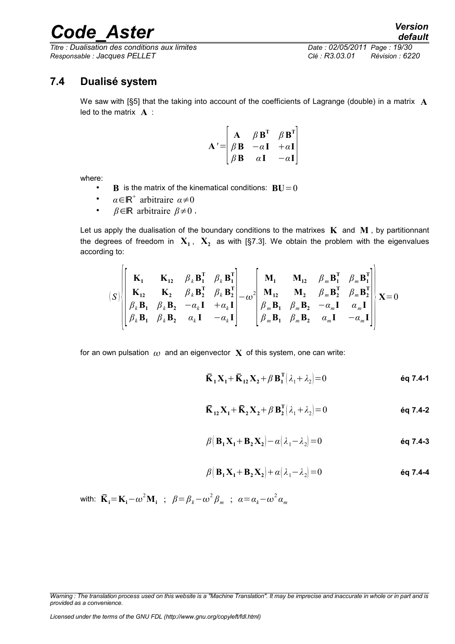*Titre : Dualisation des conditions aux limites Date : 02/05/2011 Page : 19/30 Responsable : Jacques PELLET Clé : R3.03.01 Révision : 6220*

#### **7.4 Dualisé system**

<span id="page-18-0"></span>We saw with [§5] that the taking into account of the coefficients of Lagrange (double) in a matrix **A** led to the matrix **A** :

$$
\mathbf{A}' = \begin{bmatrix} \mathbf{A} & \beta \mathbf{B}^{\mathrm{T}} & \beta \mathbf{B}^{\mathrm{T}} \\ \beta \mathbf{B} & -\alpha \mathbf{I} & +\alpha \mathbf{I} \\ \beta \mathbf{B} & \alpha \mathbf{I} & -\alpha \mathbf{I} \end{bmatrix}
$$

where:

- **B** is the matrix of the kinematical conditions:  $BU = 0$
- $\alpha \in \mathbb{R}^+$  arbitraire  $\alpha \neq 0$
- *β*∈ℝ arbitraire *β*≠0 ,

Let us apply the dualisation of the boundary conditions to the matrixes  $K$  and  $M$ , by partitionnant the degrees of freedom in  $\mathbf{X}_1$ ,  $\mathbf{X}_2$  as with [§7.3]. We obtain the problem with the eigenvalues according to:

$$
(S) \begin{bmatrix} \mathbf{K}_1 & \mathbf{K}_{12} & \boldsymbol{\beta}_k \mathbf{B}_1^T & \boldsymbol{\beta}_k \mathbf{B}_1^T \\ \mathbf{K}_{12} & \mathbf{K}_2 & \boldsymbol{\beta}_k \mathbf{B}_2^T & \boldsymbol{\beta}_k \mathbf{B}_2^T \\ \boldsymbol{\beta}_k \mathbf{B}_1 & \boldsymbol{\beta}_k \mathbf{B}_2 & -\alpha_k \mathbf{I} & +\alpha_k \mathbf{I} \\ \boldsymbol{\beta}_k \mathbf{B}_1 & \boldsymbol{\beta}_k \mathbf{B}_2 & \alpha_k \mathbf{I} & -\alpha_k \mathbf{I} \end{bmatrix} - \omega^2 \begin{bmatrix} \mathbf{M}_1 & \mathbf{M}_{12} & \boldsymbol{\beta}_m \mathbf{B}_1^T & \boldsymbol{\beta}_m \mathbf{B}_1^T \\ \mathbf{M}_{12} & \mathbf{M}_2 & \boldsymbol{\beta}_m \mathbf{B}_2^T & \boldsymbol{\beta}_m \mathbf{B}_2^T \\ \boldsymbol{\beta}_m \mathbf{B}_1 & \boldsymbol{\beta}_m \mathbf{B}_2 & -\alpha_m \mathbf{I} & \alpha_m \mathbf{I} \\ \boldsymbol{\beta}_m \mathbf{B}_1 & \boldsymbol{\beta}_m \mathbf{B}_2 & \alpha_m \mathbf{I} & -\alpha_m \mathbf{I} \end{bmatrix} \times \mathbf{E} = 0
$$

for an own pulsation  $\omega$  and an eigenvector  $\bf{X}$  of this system, one can write:

$$
\overline{\mathbf{K}}_1 \mathbf{X}_1 + \overline{\mathbf{K}}_{12} \mathbf{X}_2 + \beta \mathbf{B}_1^{\mathrm{T}} \left( \lambda_1 + \lambda_2 \right) = 0 \qquad \qquad \text{Eq 7.4-1}
$$

$$
\overline{\mathbf{K}}_{12}\mathbf{X}_1 + \overline{\mathbf{K}}_2\mathbf{X}_2 + \beta \mathbf{B}_2^{\mathrm{T}}(\lambda_1 + \lambda_2) = 0
$$
éq 7.4-2

$$
\beta \big( \mathbf{B}_1 \mathbf{X}_1 + \mathbf{B}_2 \mathbf{X}_2 \big) - \alpha \big( \lambda_1 - \lambda_2 \big) = 0
$$

$$
\beta \big( \mathbf{B}_1 \mathbf{X}_1 + \mathbf{B}_2 \mathbf{X}_2 \big) + \alpha \big( \lambda_1 - \lambda_2 \big) = 0
$$

with:  $\bar{\mathbf{K}}_{\mathbf{i}} = \mathbf{K}_{\mathbf{i}} - \omega^2 \mathbf{M}_{\mathbf{i}}$  ;  $\beta = \beta_k - \omega^2 \beta_m$  ;  $\alpha = \alpha_k - \omega^2 \alpha_m$ 

*Warning : The translation process used on this website is a "Machine Translation". It may be imprecise and inaccurate in whole or in part and is provided as a convenience.*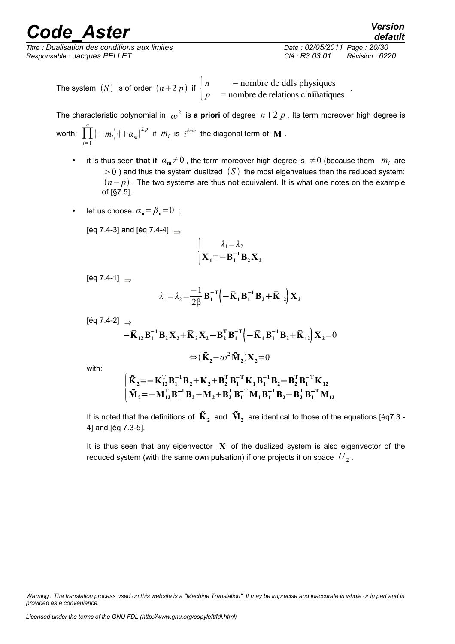*Titre : Dualisation des conditions aux limites Date : 02/05/2011 Page : 20/30 Responsable : Jacques PELLET Clé : R3.03.01 Révision : 6220*

*default*

.

The system *(S)* is of order  $(n+2 p)$  if  $\begin{cases} n \n\end{cases}$  = nombre de ddls physiques  $p =$  nombre de relations cin $\overline{m}$ atiques

The characteristic polynomial in  $\omega^2$  is **a priori** of degree  $n+2$   $p$  . Its term moreover high degree is worth: ∏ *i*=1 *n*  $(-m_i)\cdot\left(+\alpha_m\right)^{2\,p}$  if  $m_i$  is  $i^{\hat{e} me}$  the diagonal term of  $\, {\bf M} \,$  .

- it is thus seen that if  $\alpha_m \neq 0$ , the term moreover high degree is  $\neq 0$  (because them  $m_i$  are  $>0$ ) and thus the system dualized  $(S)$  the most eigenvalues than the reduced system:  $(n-p)$ . The two systems are thus not equivalent. It is what one notes on the example of [§7.5],
- let us choose  $\alpha_n = \beta_n = 0$ :

[éq 7.4-3] and [éq 7.4-4]  $\Rightarrow$ 

$$
\begin{cases} \lambda_1 = \lambda_2 \\ \mathbf{X}_1 = -\mathbf{B}_1^{-1} \mathbf{B}_2 \mathbf{X}_2 \end{cases}
$$

[éq 7.4-1]  $\Rightarrow$ 

$$
\lambda_1 = \lambda_2 = \frac{-1}{2\beta} \mathbf{B}_1^{-T} \Big( -\mathbf{\bar{K}}_1 \mathbf{B}_1^{-1} \mathbf{B}_2 + \mathbf{\bar{K}}_{12} \Big) \mathbf{X}_2
$$

[éq 7.4-2]  $\Rightarrow$ 

$$
-\bar{K}_{12}B_1^{-1}B_2X_2+\bar{K}_2X_2-B_2^TB_1^{-T}\left(-\bar{K}_1B_1^{-1}B_2+\bar{K}_{12}\right)X_2=0
$$
  

$$
\Leftrightarrow (\tilde{K}_2-\omega^2\tilde{M}_2)X_2=0
$$

with:

$$
\begin{cases} \tilde{\mathbf{K}}_2 = -\mathbf{K}_{12}^{\mathrm{T}} \mathbf{B}_1^{-1} \mathbf{B}_2 + \mathbf{K}_2 + \mathbf{B}_2^{\mathrm{T}} \mathbf{B}_1^{-T} \mathbf{K}_1 \mathbf{B}_1^{-1} \mathbf{B}_2 - \mathbf{B}_2^{\mathrm{T}} \mathbf{B}_1^{-T} \mathbf{K}_{12} \\ \tilde{\mathbf{M}}_2 = -\mathbf{M}_{12}^{\mathrm{T}} \mathbf{B}_1^{-1} \mathbf{B}_2 + \mathbf{M}_2 + \mathbf{B}_2^{\mathrm{T}} \mathbf{B}_1^{-T} \mathbf{M}_1 \mathbf{B}_1^{-1} \mathbf{B}_2 - \mathbf{B}_2^{\mathrm{T}} \mathbf{B}_1^{-T} \mathbf{M}_{12} \end{cases}
$$

It is noted that the definitions of  $\tilde{\mathbf{K}}_2$  and  $\tilde{\mathbf{M}}_2$  are identical to those of the equations [éq7.3 -4] and [éq 7.3-5].

It is thus seen that any eigenvector  $\bf{X}$  of the dualized system is also eigenvector of the reduced system (with the same own pulsation) if one projects it on space  $\left|U_{2}\right|$ 

*Warning : The translation process used on this website is a "Machine Translation". It may be imprecise and inaccurate in whole or in part and is provided as a convenience.*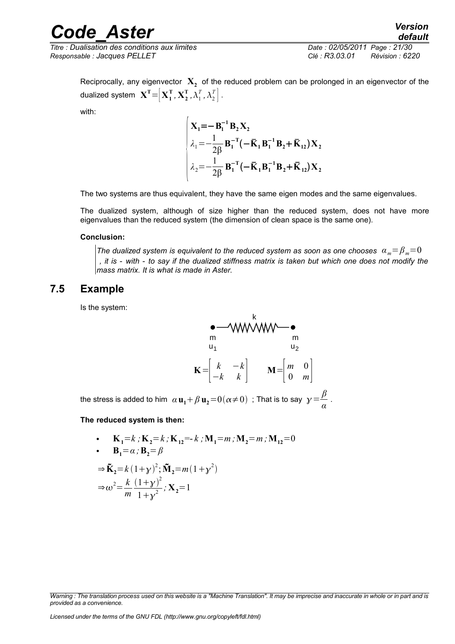*Titre : Dualisation des conditions aux limites Date : 02/05/2011 Page : 21/30 Responsable : Jacques PELLET Clé : R3.03.01 Révision : 6220*

*default*

Reciprocally, any eigenvector  $\mathbf{X}_2$  of the reduced problem can be prolonged in an eigenvector of the dualized system  $\mathbf{X^T}\text{=}\left[\mathbf{X_1^T},\mathbf{X_2^T},\mathbf{\lambda_1^T},\mathbf{\lambda_2^T}\right].$ 

with:

$$
\begin{cases}\n\mathbf{X}_1 = -\mathbf{B}_1^{-1} \mathbf{B}_2 \mathbf{X}_2 \\
\lambda_1 = -\frac{1}{2\beta} \mathbf{B}_1^{-T} (-\bar{\mathbf{K}}_1 \mathbf{B}_1^{-1} \mathbf{B}_2 + \bar{\mathbf{K}}_{12}) \mathbf{X}_2 \\
\lambda_2 = -\frac{1}{2\beta} \mathbf{B}_1^{-T} (-\bar{\mathbf{K}}_1 \mathbf{B}_1^{-1} \mathbf{B}_2 + \bar{\mathbf{K}}_{12}) \mathbf{X}_2\n\end{cases}
$$

The two systems are thus equivalent, they have the same eigen modes and the same eigenvalues.

The dualized system, although of size higher than the reduced system, does not have more eigenvalues than the reduced system (the dimension of clean space is the same one).

#### **Conclusion:**

*The dualized system is equivalent to the reduced system as soon as one chooses*  $\alpha_m = \beta_m = 0$  *, it is - with - to say if the dualized stiffness matrix is taken but which one does not modify the mass matrix. It is what is made in Aster.*

#### **7.5 Example**

<span id="page-20-0"></span>Is the system:

$$
\mathbf{K} = \begin{bmatrix} k & -k \\ -k & k \end{bmatrix} \qquad \mathbf{M} = \begin{bmatrix} m & 0 \\ 0 & m \end{bmatrix}
$$

k

the stress is added to him  $\alpha$   $\mathbf{u}_1 + \beta$   $\mathbf{u}_2 = 0(\alpha \neq 0)$  ; That is to say  $\gamma = \frac{\beta}{\alpha}$ *α* .

**The reduced system is then:**

• 
$$
\mathbf{K}_1 = k ; \mathbf{K}_2 = k ; \mathbf{K}_{12} = -k ; \mathbf{M}_1 = m ; \mathbf{M}_2 = m ; \mathbf{M}_{12} = 0
$$
  
\n•  $\mathbf{B}_1 = \alpha ; \mathbf{B}_2 = \beta$   
\n $\Rightarrow \tilde{\mathbf{K}}_2 = k (1 + y)^2 ; \tilde{\mathbf{M}}_2 = m (1 + y^2)$   
\n $\Rightarrow \omega^2 = \frac{k}{m} \frac{(1 + y)^2}{1 + y^2} ; \mathbf{X}_2 = 1$ 

*Warning : The translation process used on this website is a "Machine Translation". It may be imprecise and inaccurate in whole or in part and is provided as a convenience.*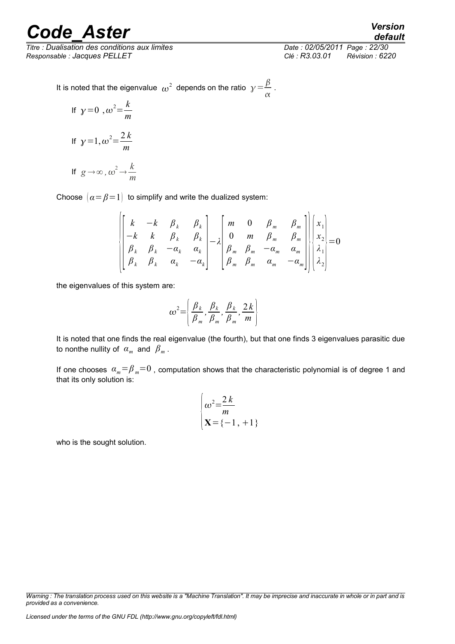*Titre : Dualisation des conditions aux limites Date : 02/05/2011 Page : 22/30 Responsable : Jacques PELLET Clé : R3.03.01 Révision : 6220*

*default*

It is noted that the eigenvalue  $\omega^2$  depends on the ratio  $\gamma = \frac{\beta}{\omega}$  $\frac{\rho}{\alpha}$ .

If 
$$
y=0
$$
,  $\omega^2 = \frac{k}{m}$   
\nIf  $y=1$ ,  $\omega^2 = \frac{2k}{m}$   
\nIf  $g \rightarrow \infty$ ,  $\omega^2 \rightarrow \frac{k}{m}$ 

Choose  $\alpha = \beta = 1$  to simplify and write the dualized system:

$$
\begin{bmatrix} k & -k & \beta_k & \beta_k \\ -k & k & \beta_k & \beta_k \\ \beta_k & \beta_k & -\alpha_k & \alpha_k \\ \beta_k & \beta_k & \alpha_k & -\alpha_k \end{bmatrix} - \lambda \begin{bmatrix} m & 0 & \beta_m & \beta_m \\ 0 & m & \beta_m & \beta_m \\ \beta_m & \beta_m & -\alpha_m & \alpha_m \\ \beta_m & \beta_m & \alpha_m & -\alpha_m \end{bmatrix} \begin{bmatrix} x_1 \\ x_2 \\ x_3 \\ \lambda_1 \\ \lambda_2 \end{bmatrix} = 0
$$

the eigenvalues of this system are:

$$
\boldsymbol{\omega}^2 = \left(\frac{\beta_k}{\beta_m}, \frac{\beta_k}{\beta_m}, \frac{\beta_k}{\beta_m}, \frac{2k}{m}\right)
$$

It is noted that one finds the real eigenvalue (the fourth), but that one finds 3 eigenvalues parasitic due to nonthe nullity of  $\alpha_m$  and  $\beta_m$ .

If one chooses  $\alpha_m = \beta_m = 0$ , computation shows that the characteristic polynomial is of degree 1 and that its only solution is:

$$
\begin{cases} \n\omega^2 = \frac{2k}{m} \\ \mathbf{X} = \{-1, +1\} \n\end{cases}
$$

who is the sought solution.

*Warning : The translation process used on this website is a "Machine Translation". It may be imprecise and inaccurate in whole or in part and is provided as a convenience.*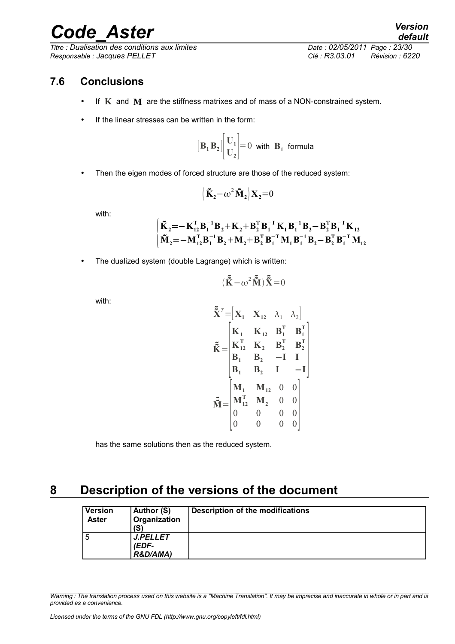*Titre : Dualisation des conditions aux limites Date : 02/05/2011 Page : 23/30 Responsable : Jacques PELLET Clé : R3.03.01 Révision : 6220*

### **7.6 Conclusions**

<span id="page-22-1"></span>• If **K** and **M** are the stiffness matrixes and of mass of a NON-constrained system.

 $\overline{a}$ 

• If the linear stresses can be written in the form:

$$
\[\mathbf{B}_1 \mathbf{B}_2 \middle| \begin{bmatrix} \mathbf{U}_1 \\ \mathbf{U}_2 \end{bmatrix} = 0 \text{ with } \mathbf{B}_1 \text{ formula}
$$

• Then the eigen modes of forced structure are those of the reduced system:

$$
\left(\mathbf{\tilde{K}}_{2} - \omega^2 \mathbf{\tilde{M}}_{2}\right) \mathbf{X}_{2} = 0
$$

with:

$$
\begin{cases} \tilde{\mathbf{K}}_2 = -\mathbf{K}_{12}^{\mathrm{T}} \mathbf{B}_1^{-1} \mathbf{B}_2 + \mathbf{K}_2 + \mathbf{B}_2^{\mathrm{T}} \mathbf{B}_1^{-\mathrm{T}} \mathbf{K}_1 \mathbf{B}_1^{-1} \mathbf{B}_2 - \mathbf{B}_2^{\mathrm{T}} \mathbf{B}_1^{-\mathrm{T}} \mathbf{K}_{12} \\ \tilde{\mathbf{M}}_2 = -\mathbf{M}_{12}^{\mathrm{T}} \mathbf{B}_1^{-1} \mathbf{B}_2 + \mathbf{M}_2 + \mathbf{B}_2^{\mathrm{T}} \mathbf{B}_1^{-\mathrm{T}} \mathbf{M}_1 \mathbf{B}_1^{-1} \mathbf{B}_2 - \mathbf{B}_2^{\mathrm{T}} \mathbf{B}_1^{-\mathrm{T}} \mathbf{M}_{12} \end{cases}
$$

The dualized system (double Lagrange) which is written:

$$
(\tilde{\tilde{\mathbf{K}}} - \omega^2 \tilde{\tilde{\mathbf{M}}}) \tilde{\tilde{\mathbf{X}}} = 0
$$

with:

$$
\tilde{\tilde{X}}^{T} = \begin{bmatrix} X_1 & X_{12} & \lambda_1 & \lambda_2 \end{bmatrix}
$$
\n
$$
\tilde{\tilde{K}} = \begin{bmatrix} K_1 & K_{12} & B_1^T & B_1^T \\ K_{12}^T & K_2 & B_2^T & B_2^T \\ B_1 & B_2 & -I & I \\ B_1 & B_2 & I & -I \end{bmatrix}
$$
\n
$$
\tilde{\tilde{M}} = \begin{bmatrix} M_1 & M_{12} & 0 & 0 \\ M_{12}^T & M_2 & 0 & 0 \\ 0 & 0 & 0 & 0 \\ 0 & 0 & 0 & 0 \end{bmatrix}
$$

has the same solutions then as the reduced system.

### **8 Description of the versions of the document**

<span id="page-22-0"></span>

| <b>Version</b><br><b>Aster</b> | Author (S)<br><b>Organization</b><br>(S) | Description of the modifications |
|--------------------------------|------------------------------------------|----------------------------------|
|                                | <b>J.PELLET</b><br>(EDF-<br>R&D/AMA)     |                                  |

*Warning : The translation process used on this website is a "Machine Translation". It may be imprecise and inaccurate in whole or in part and is provided as a convenience.*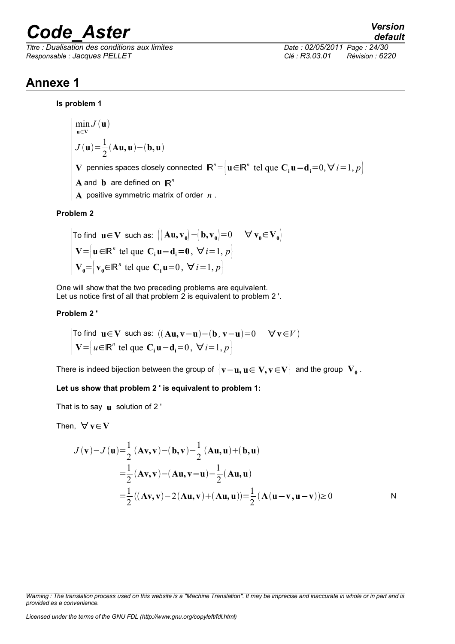*Titre : Dualisation des conditions aux limites Date : 02/05/2011 Page : 24/30 Responsable : Jacques PELLET Clé : R3.03.01 Révision : 6220*

### **Annexe 1**

#### **Is problem 1**

$$
\min_{\mathbf{u} \in \mathbf{V}} J(\mathbf{u})
$$
\n
$$
J(\mathbf{u}) = \frac{1}{2} (\mathbf{A}\mathbf{u}, \mathbf{u}) - (\mathbf{b}, \mathbf{u})
$$
\nV pennies spaces closely connected

\n
$$
\mathbb{R}^n = \left\{ \mathbf{u} \in \mathbb{R}^n \text{ tel que } \mathbf{C}_i \mathbf{u} - \mathbf{d}_i = 0, \forall i = 1, p \right\}
$$
\nA and b are defined on

\n
$$
\mathbb{R}^n
$$
\nA positive symmetric matrix of order

\n
$$
n
$$

#### **Problem 2**

To find 
$$
\mathbf{u} \in \mathbf{V}
$$
 such as:  $\left( [\mathbf{A}\mathbf{u}, \mathbf{v}_0] - (\mathbf{b}, \mathbf{v}_0) = 0 \quad \forall \mathbf{v}_0 \in \mathbf{V}_0 \right)$   
\n $\mathbf{V} = \left[ \mathbf{u} \in \mathbb{R}^n \text{ tel que } \mathbf{C}_i \mathbf{u} - \mathbf{d}_i = 0, \forall i = 1, p \right]$   
\n $\mathbf{V}_0 = \left[ \mathbf{v}_0 \in \mathbb{R}^n \text{ tel que } \mathbf{C}_i \mathbf{u} = 0, \forall i = 1, p \right]$ 

One will show that the two preceding problems are equivalent. Let us notice first of all that problem 2 is equivalent to problem 2 '.

#### **Problem 2 '**

To find 
$$
\mathbf{u} \in \mathbf{V}
$$
 such as:  $((\mathbf{A}\mathbf{u}, \mathbf{v} - \mathbf{u}) - (\mathbf{b}, \mathbf{v} - \mathbf{u}) = 0 \quad \forall \mathbf{v} \in V$   
\n
$$
\mathbf{V} = \begin{bmatrix} u \in \mathbb{R}^n \text{ tel que } \mathbf{C}_i \mathbf{u} - \mathbf{d}_i = 0, \ \forall i = 1, p \end{bmatrix}
$$

There is indeed bijection between the group of  $\big\{ \mathbf{v}-\mathbf{u},\mathbf{u} \in \mathbf{V},\mathbf{v} \!\in\! \mathbf{V} \big\} \;$  and the group  $\,\mathbf{V_0}\,$  .

**Let us show that problem 2 ' is equivalent to problem 1:**

That is to say **u** solution of 2 '

Then,  $\forall v \in V$ 

$$
J(\mathbf{v}) - J(\mathbf{u}) = \frac{1}{2} (\mathbf{A}\mathbf{v}, \mathbf{v}) - (\mathbf{b}, \mathbf{v}) - \frac{1}{2} (\mathbf{A}\mathbf{u}, \mathbf{u}) + (\mathbf{b}, \mathbf{u})
$$
  
\n
$$
= \frac{1}{2} (\mathbf{A}\mathbf{v}, \mathbf{v}) - (\mathbf{A}\mathbf{u}, \mathbf{v} - \mathbf{u}) - \frac{1}{2} (\mathbf{A}\mathbf{u}, \mathbf{u})
$$
  
\n
$$
= \frac{1}{2} ((\mathbf{A}\mathbf{v}, \mathbf{v}) - 2 (\mathbf{A}\mathbf{u}, \mathbf{v}) + (\mathbf{A}\mathbf{u}, \mathbf{u})) = \frac{1}{2} (\mathbf{A} (\mathbf{u} - \mathbf{v}, \mathbf{u} - \mathbf{v})) \ge 0
$$

*default*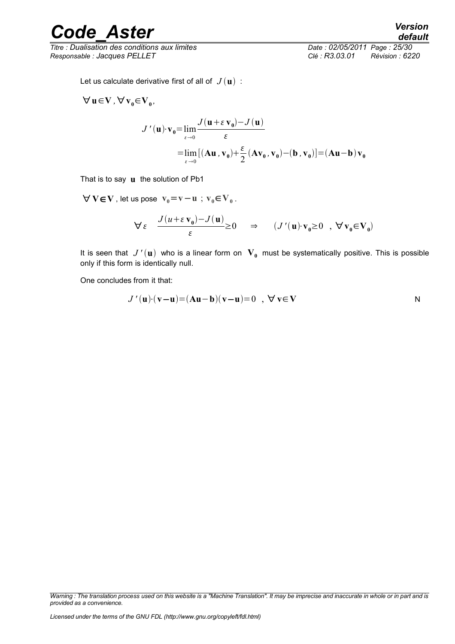*Titre : Dualisation des conditions aux limites Date : 02/05/2011 Page : 25/30 Responsable : Jacques PELLET Clé : R3.03.01 Révision : 6220*

*default*

Let us calculate derivative first of all of  $J(\mathbf{u})$ :

$$
\begin{aligned}\n\forall \mathbf{u} \in \mathbf{V}, \forall \mathbf{v}_0 \in \mathbf{V}_0, \\
J'(\mathbf{u}) \cdot \mathbf{v}_0 &= \lim_{\varepsilon \to 0} \frac{J(\mathbf{u} + \varepsilon \mathbf{v}_0) - J(\mathbf{u})}{\varepsilon} \\
&= \lim_{\varepsilon \to 0} \left[ (\mathbf{A} \mathbf{u}, \mathbf{v}_0) + \frac{\varepsilon}{2} (\mathbf{A} \mathbf{v}_0, \mathbf{v}_0) - (\mathbf{b}, \mathbf{v}_0) \right] = (\mathbf{A} \mathbf{u} - \mathbf{b}) \mathbf{v}_0\n\end{aligned}
$$

That is to say **u** the solution of Pb1

 $\forall$  **V∈V** , let us pose  $v_0 = v - u$ ;  $v_0 \in V_0$ .

$$
\forall \varepsilon \quad \frac{J(u+\varepsilon \mathbf{v}_0) - J(u)}{\varepsilon} \ge 0 \quad \Rightarrow \quad (J'(u) \cdot \mathbf{v}_0 \ge 0 \quad , \ \forall \mathbf{v}_0 \in \mathbf{V}_0)
$$

It is seen that  $J'(\mathbf{u})$  who is a linear form on  $|\mathbf{V}_0|$  must be systematically positive. This is possible only if this form is identically null.

One concludes from it that:

$$
J'(u)(v-u) = (Au-b)(v-u) = 0 \quad , \quad \forall v \in V
$$

*Warning : The translation process used on this website is a "Machine Translation". It may be imprecise and inaccurate in whole or in part and is provided as a convenience.*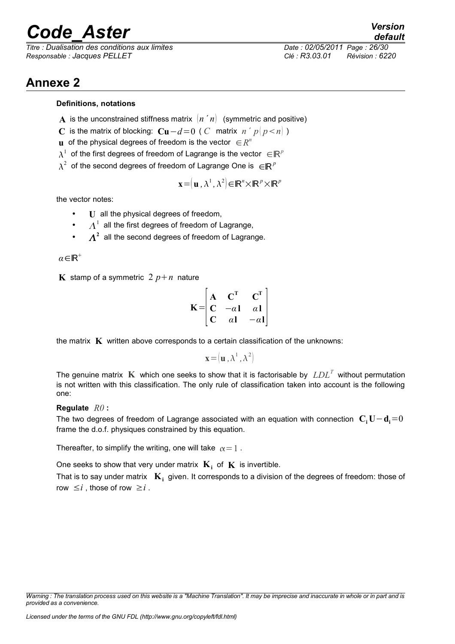*Titre : Dualisation des conditions aux limites Date : 02/05/2011 Page : 26/30 Responsable : Jacques PELLET Clé : R3.03.01 Révision : 6220*

*default*

### **Annexe 2**

#### **Definitions, notations**

- **A** is the unconstrained stiffness matrix  $\begin{bmatrix} n & n \end{bmatrix}$  (symmetric and positive)
- **C** is the matrix of blocking:  $C**u** − *d* = 0$  ( *C* matrix *n' p*  $|p < n|$  )
- **u** of the physical degrees of freedom is the vector  $\in R^n$
- $\lambda^1$  of the first degrees of freedom of Lagrange is the vector  $\in \mathbb{R}^p$
- $\lambda^2$  of the second degrees of freedom of Lagrange One is  $\in \mathbb{R}^p$

$$
\mathbf{x} = (\mathbf{u}, \lambda^1, \lambda^2) \in \mathbb{R}^n \times \mathbb{R}^p \times \mathbb{R}^p
$$

the vector notes:

- **U** all the physical degrees of freedom,
- $\Lambda^1$  all the first degrees of freedom of Lagrange,
- $\cdot$   $\Lambda^2$  all the second degrees of freedom of Lagrange.

*α*∈ℝ

**K** stamp of a symmetric  $2 p + n$  nature

$$
\mathbf{K} = \begin{bmatrix} \mathbf{A} & \mathbf{C}^{\mathrm{T}} & \mathbf{C}^{\mathrm{T}} \\ \mathbf{C} & -\alpha \mathbf{I} & \alpha \mathbf{I} \\ \mathbf{C} & \alpha \mathbf{I} & -\alpha \mathbf{I} \end{bmatrix}.
$$

the matrix **K** written above corresponds to a certain classification of the unknowns:

 $\mathbf{x} = (\mathbf{u}, \lambda^1, \lambda^2)$ 

The genuine matrix **K** which one seeks to show that it is factorisable by *LDL<sup>T</sup>* without permutation is not written with this classification. The only rule of classification taken into account is the following one:

#### **Regulate** *R0* **:**

The two degrees of freedom of Lagrange associated with an equation with connection **C<sup>i</sup> U**−**di**=0 frame the d.o.f. physiques constrained by this equation.

Thereafter, to simplify the writing, one will take  $\alpha = 1$ .

One seeks to show that very under matrix  $\mathbf{K}_i$  of  $\mathbf{K}$  is invertible.

That is to say under matrix  $\mathbf{K}_i$  given. It corresponds to a division of the degrees of freedom: those of row  $\leq i$ , those of row  $\geq i$ .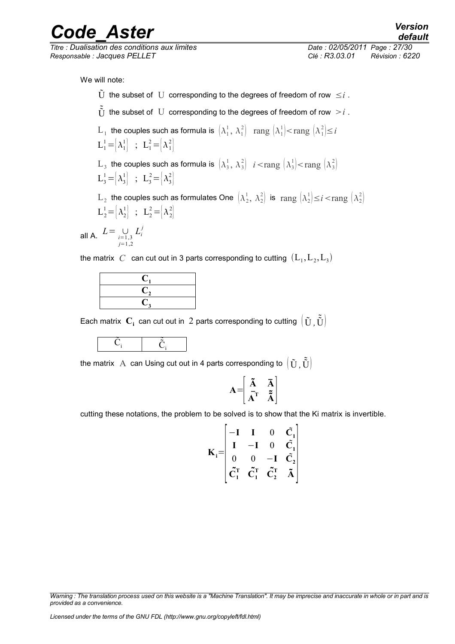*Titre : Dualisation des conditions aux limites Date : 02/05/2011 Page : 27/30 Responsable : Jacques PELLET Clé : R3.03.01 Révision : 6220*

*default*

- $\tilde{U}$  the subset of  $U$  corresponding to the degrees of freedom of row  $\leq i$ .
- $\tilde{U}$  the subset of U corresponding to the degrees of freedom of row  $>i$ .
- $\rm L_1$  the couples such as formula is  $\, \left[ \lambda_1^1, \, \lambda_1^2 \right] \, \, \text{ rang } \left[ \lambda_1^1 \right] \! < \! \text{rang } \left[ \lambda_1^2 \right] \! \leq \! i$  $L_1^1 = |\lambda_1^1|$  ;  $L_1^2 = |\lambda_1^2|$
- $\text{L}_3$  the couples such as formula is  $\left(\lambda_3^1, \, \lambda_3^2\right)$   $i<$ rang  $\left(\lambda_3^1\right)<$ rang  $\left(\lambda_3^2\right)$  $L_3^1 = |\lambda_3^1|$  ;  $L_3^2 = |\lambda_3^2|$
- $\rm L_2$  the couples such as formulates One  $\rm \left(\lambda_2^1,\ \lambda_2^2\right)$  is  $\rm\,rang\,\left(\lambda_2^1\right)\leq i<\rm rang\,\left(\lambda_2^2\right)$  $L_2^1 = |\lambda_2^1|$  ;  $L_2^2 = |\lambda_2^2|$

all A.  $L = \bigcup_{i=1,3}$ *j*=1,2  $L_i^j$ 

the matrix  $\; C \;$  can cut out in 3 parts corresponding to cutting  $\; ({\rm L}_1, {\rm L}_2, {\rm L}_3)$ 

Each matrix  $\textbf{C}_\textbf{i}$  can cut out in  $\,2$  parts corresponding to cutting  $\,big|\, \tilde{\textbf{U}}$  ,  $\tilde{\tilde{\textbf{U}}} \big|$ 



the matrix  $\,\mathrm{A}\,$  can Using cut out in 4 parts corresponding to  $\,\left(\,\tilde{\mathrm{U}}\, , \tilde{\tilde{\mathrm{U}}}\right)\,$ 

$$
\mathbf{A} = \begin{bmatrix} \tilde{\mathbf{A}} & \bar{\mathbf{A}} \\ \bar{\mathbf{A}}^{\mathrm{T}} & \tilde{\tilde{\mathbf{A}}} \end{bmatrix}
$$

cutting these notations, the problem to be solved is to show that the Ki matrix is invertible.

$$
\mathbf{K}_{i} = \begin{bmatrix} -\mathbf{I} & \mathbf{I} & 0 & \tilde{\mathbf{C}}_{1} \\ \mathbf{I} & -\mathbf{I} & 0 & \tilde{\mathbf{C}}_{1} \\ 0 & 0 & -\mathbf{I} & \tilde{\mathbf{C}}_{2} \\ \tilde{\mathbf{C}}_{1}^{\mathrm{T}} & \tilde{\mathbf{C}}_{1}^{\mathrm{T}} & \tilde{\mathbf{C}}_{2}^{\mathrm{T}} & \tilde{\mathbf{A}} \end{bmatrix}
$$

*Warning : The translation process used on this website is a "Machine Translation". It may be imprecise and inaccurate in whole or in part and is provided as a convenience.*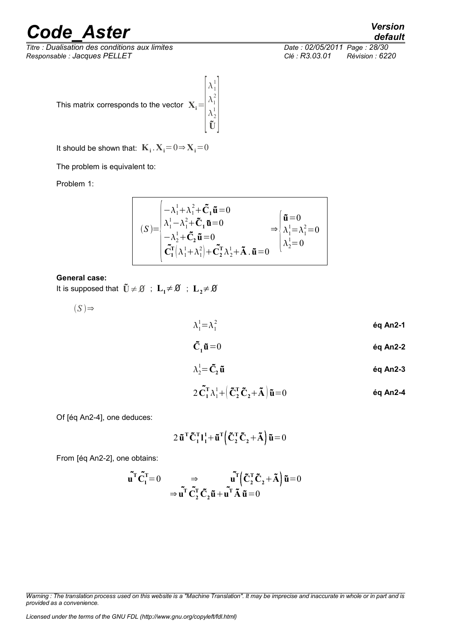*Titre : Dualisation des conditions aux limites Date : 02/05/2011 Page : 28/30 Responsable : Jacques PELLET Clé : R3.03.01 Révision : 6220*

This matrix corresponds to the vector  $\mathbf{X}_\text{i}$  =

It should be shown that:  $\mathbf{K}_i \cdot \mathbf{X}_i = 0 \Rightarrow \mathbf{X}_i = 0$ 

The problem is equivalent to:

Problem 1:

$$
(S) = \begin{cases}\n-\lambda_1^1 + \lambda_1^2 + \tilde{C}_1 \tilde{\mathbf{u}} = 0 \\
\lambda_1^1 - \lambda_1^2 + \tilde{C}_1 \tilde{\mathbf{u}} = 0 \\
-\lambda_2^1 + \tilde{C}_2 \tilde{\mathbf{u}} = 0 \\
\tilde{C}_1^T (\lambda_1^1 + \lambda_1^2) + \tilde{C}_2^T \lambda_2^1 + \tilde{\mathbf{A}} \cdot \tilde{\mathbf{u}} = 0\n\end{cases} \Rightarrow \begin{cases}\n\tilde{\mathbf{u}} = 0 \\
\lambda_1^1 = \lambda_1^2 = 0 \\
\lambda_2^1 = 0\n\end{cases}
$$

 $\left| \frac{\Delta}{2} \right|$ 

 $\lambda_1^1$  $\lambda_1^2$  $\lambda_2^1$  $\left| \begin{array}{c} \mathbf{v}_2 \\ \mathbf{U} \end{array} \right|$ 

#### **General case:**

It is supposed that  $\tilde{U} \neq \emptyset$  ;  $L_1 \neq \emptyset$  ;  $L_2 \neq \emptyset$ 

 $(S)$   $\Rightarrow$ 

$$
\lambda_1^1 = \lambda_1^2 \qquad \qquad \text{6q An2-1}
$$

$$
\tilde{\mathbf{C}}_1 \tilde{\mathbf{u}} = 0 \qquad \qquad \qquad \qquad \text{6q An2-2}
$$

$$
\lambda_2^1 = \tilde{C}_2 \tilde{u} \qquad \qquad \text{6q An2-3}
$$

$$
2\tilde{\mathbf{C}}_1^{\mathsf{T}}\lambda_1^1 + \left(\tilde{\mathbf{C}}_2^{\mathsf{T}}\tilde{\mathbf{C}}_2 + \tilde{\mathbf{A}}\right)\tilde{\mathbf{u}} = 0
$$
éq An2-4

Of [éq An2-4], one deduces:

$$
2 \tilde{\mathbf{u}}^{\mathrm{T}} \tilde{\mathbf{C}}_1^{\mathrm{T}} \mathbf{l}_1^1 + \tilde{\mathbf{u}}^{\mathrm{T}} \left( \tilde{\mathbf{C}}_2^{\mathrm{T}} \tilde{\mathbf{C}}_2 + \tilde{\mathbf{A}} \right) \tilde{\mathbf{u}} = 0
$$

From [éq An2-2], one obtains:

$$
\tilde{\mathbf{u}}^{\mathrm{T}} \tilde{\mathbf{C}}_{1}^{\mathrm{T}} = 0 \Rightarrow \tilde{\mathbf{u}}^{\mathrm{T}} \tilde{\mathbf{C}}_{2}^{\mathrm{T}} \tilde{\mathbf{C}}_{2} \tilde{\mathbf{u}} + \tilde{\mathbf{u}}^{\mathrm{T}} \tilde{\mathbf{A}} \tilde{\mathbf{u}} = 0
$$

$$
\Rightarrow \tilde{\mathbf{u}}^{\mathrm{T}} \tilde{\mathbf{C}}_{2}^{\mathrm{T}} \tilde{\mathbf{C}}_{2} \tilde{\mathbf{u}} + \tilde{\mathbf{u}}^{\mathrm{T}} \tilde{\mathbf{A}} \tilde{\mathbf{u}} = 0
$$

*Warning : The translation process used on this website is a "Machine Translation". It may be imprecise and inaccurate in whole or in part and is*

*Licensed under the terms of the GNU FDL (http://www.gnu.org/copyleft/fdl.html)*

*default*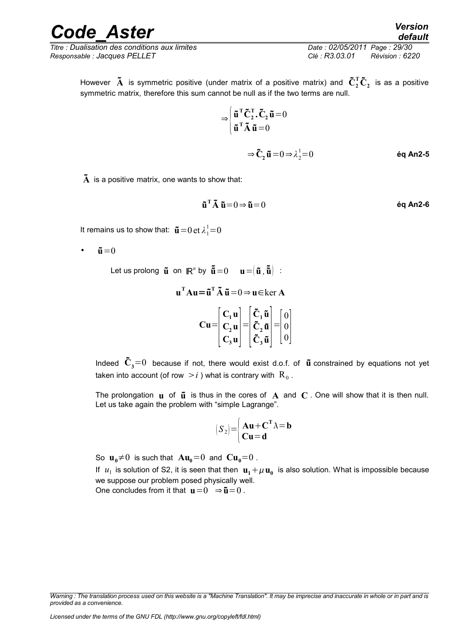#### *Code\_Aster Version default*

*Titre : Dualisation des conditions aux limites Date : 02/05/2011 Page : 29/30 Responsable : Jacques PELLET Clé : R3.03.01 Révision : 6220*

However  $\bf{\tilde{A}}$  is symmetric positive (under matrix of a positive matrix) and  $\bf{\tilde{C}}_2^T\bf{\tilde{C}}_2$  is as a positive symmetric matrix, therefore this sum cannot be null as if the two terms are null.

$$
\Rightarrow \begin{cases} \tilde{\mathbf{u}}^{\mathrm{T}} \tilde{\mathbf{C}}_2^{\mathrm{T}} \cdot \tilde{\mathbf{C}}_2 \tilde{\mathbf{u}} = 0 \\ \tilde{\mathbf{u}}^{\mathrm{T}} \tilde{\mathbf{A}} \tilde{\mathbf{u}} = 0 \end{cases}
$$

 $\Rightarrow \mathbf{\tilde{C}}_2 \mathbf{\tilde{u}} = 0 \Rightarrow \lambda_2^1$ <sup>1</sup>=0 **éq An2-5**

 $\tilde{\textbf{A}}$  is a positive matrix, one wants to show that:

$$
\tilde{\mathbf{u}}^{\mathrm{T}} \tilde{\mathbf{A}} \; \tilde{\mathbf{u}} = 0 \Rightarrow \tilde{\mathbf{u}} = 0 \tag{6} \mathbf{A} \mathbf{n2} \cdot \mathbf{6}
$$

It remains us to show that:  $\mathbf{\tilde{u}}\!=\!0$  et  $\lambda^{1}_{1}\!=\!0$ 

 $\tilde{\mathbf{u}} = 0$ 

 ${\bf L}$ et us prolong  $\tilde{\bf u}$  on  ${\bf R}^n$  by  $\tilde{\tilde{\bf u}}\!=\!0$   ${\bf u}\!=\!\!{\bf u}\,, \tilde{\tilde{\bf u}})$  :

$$
\mathbf{u}^{\mathrm{T}} \mathbf{A} \mathbf{u} = \tilde{\mathbf{u}}^{\mathrm{T}} \tilde{\mathbf{A}} \tilde{\mathbf{u}} = 0 \Rightarrow \mathbf{u} \in \ker \mathbf{A}
$$

$$
\mathbf{C} \mathbf{u} = \begin{bmatrix} \mathbf{C}_1 \mathbf{u} \\ \mathbf{C}_2 \mathbf{u} \\ \mathbf{C}_3 \mathbf{u} \end{bmatrix} = \begin{bmatrix} \tilde{\mathbf{C}}_1 \tilde{\mathbf{u}} \\ \tilde{\mathbf{C}}_2 \tilde{\mathbf{u}} \\ \tilde{\mathbf{C}}_3 \tilde{\mathbf{u}} \end{bmatrix} = \begin{bmatrix} 0 \\ 0 \\ 0 \end{bmatrix}
$$

Indeed  $\tilde{\mathbf{C}}_3$ =0 because if not, there would exist d.o.f. of  $\tilde{\mathbf{u}}$  constrained by equations not yet taken into account (of row  $\,>$   $i$  ) what is contrary with  $\, {\rm R}_{\,0}$  .

The prolongation  $\bf{u}$  of  $\bf{\tilde{u}}$  is thus in the cores of  $\bf{A}$  and  $\bf{C}$ . One will show that it is then null. Let us take again the problem with "simple Lagrange".

$$
(S_2) = \begin{cases} \mathbf{A} \mathbf{u} + \mathbf{C}^{\mathrm{T}} \lambda = \mathbf{b} \\ \mathbf{C} \mathbf{u} = \mathbf{d} \end{cases}
$$

So  $\mathbf{u}_0 \neq 0$  is such that  $\mathbf{A}\mathbf{u}_0 = 0$  and  $\mathbf{Cu}_0 = 0$ .

If  $u_1$  is solution of S2, it is seen that then  $\mathbf{u}_1 + \mu \mathbf{u}_0$  is also solution. What is impossible because we suppose our problem posed physically well.

One concludes from it that  $\mathbf{u}=0 \Rightarrow \mathbf{\tilde{u}}=0$ .

*Warning : The translation process used on this website is a "Machine Translation". It may be imprecise and inaccurate in whole or in part and is provided as a convenience.*